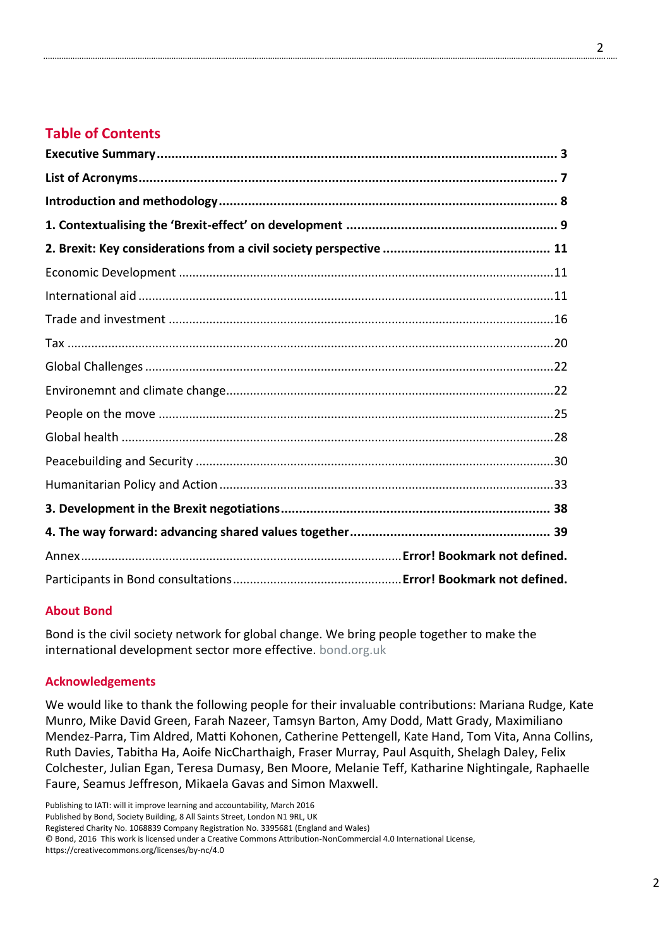# **Table of Contents**

### **About Bond**

Bond is the civil society network for global change. We bring people together to make the international development sector more effective. [bond.org.uk](https://www.bond.org.uk/)

#### **Acknowledgements**

We would like to thank the following people for their invaluable contributions: Mariana Rudge, Kate Munro, Mike David Green, Farah Nazeer, Tamsyn Barton, Amy Dodd, Matt Grady, Maximiliano Mendez-Parra, Tim Aldred, Matti Kohonen, Catherine Pettengell, Kate Hand, Tom Vita, Anna Collins, Ruth Davies, Tabitha Ha, Aoife NicCharthaigh, Fraser Murray, Paul Asquith, Shelagh Daley, Felix Colchester, Julian Egan, Teresa Dumasy, Ben Moore, Melanie Teff, Katharine Nightingale, Raphaelle Faure, Seamus Jeffreson, Mikaela Gavas and Simon Maxwell.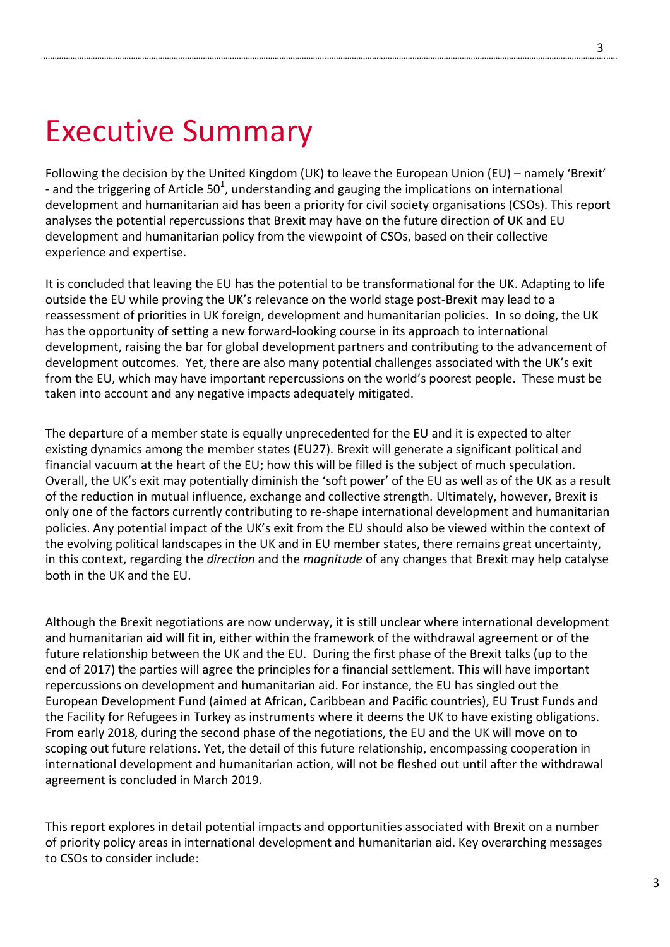# Executive Summary

Following the decision by the United Kingdom (UK) to leave the European Union (EU) – namely 'Brexit' - and the triggering of Article 50<sup>1</sup>, understanding and gauging the implications on international development and humanitarian aid has been a priority for civil society organisations (CSOs). This report analyses the potential repercussions that Brexit may have on the future direction of UK and EU development and humanitarian policy from the viewpoint of CSOs, based on their collective experience and expertise.

It is concluded that leaving the EU has the potential to be transformational for the UK. Adapting to life outside the EU while proving the UK's relevance on the world stage post-Brexit may lead to a reassessment of priorities in UK foreign, development and humanitarian policies. In so doing, the UK has the opportunity of setting a new forward-looking course in its approach to international development, raising the bar for global development partners and contributing to the advancement of development outcomes. Yet, there are also many potential challenges associated with the UK's exit from the EU, which may have important repercussions on the world's poorest people. These must be taken into account and any negative impacts adequately mitigated.

The departure of a member state is equally unprecedented for the EU and it is expected to alter existing dynamics among the member states (EU27). Brexit will generate a significant political and financial vacuum at the heart of the EU; how this will be filled is the subject of much speculation. Overall, the UK's exit may potentially diminish the 'soft power' of the EU as well as of the UK as a result of the reduction in mutual influence, exchange and collective strength. Ultimately, however, Brexit is only one of the factors currently contributing to re-shape international development and humanitarian policies. Any potential impact of the UK's exit from the EU should also be viewed within the context of the evolving political landscapes in the UK and in EU member states, there remains great uncertainty, in this context, regarding the *direction* and the *magnitude* of any changes that Brexit may help catalyse both in the UK and the EU.

Although the Brexit negotiations are now underway, it is still unclear where international development and humanitarian aid will fit in, either within the framework of the withdrawal agreement or of the future relationship between the UK and the EU. During the first phase of the Brexit talks (up to the end of 2017) the parties will agree the principles for a financial settlement. This will have important repercussions on development and humanitarian aid. For instance, the EU has singled out the European Development Fund (aimed at African, Caribbean and Pacific countries), EU Trust Funds and the Facility for Refugees in Turkey as instruments where it deems the UK to have existing obligations. From early 2018, during the second phase of the negotiations, the EU and the UK will move on to scoping out future relations. Yet, the detail of this future relationship, encompassing cooperation in international development and humanitarian action, will not be fleshed out until after the withdrawal agreement is concluded in March 2019.

This report explores in detail potential impacts and opportunities associated with Brexit on a number of priority policy areas in international development and humanitarian aid. Key overarching messages to CSOs to consider include: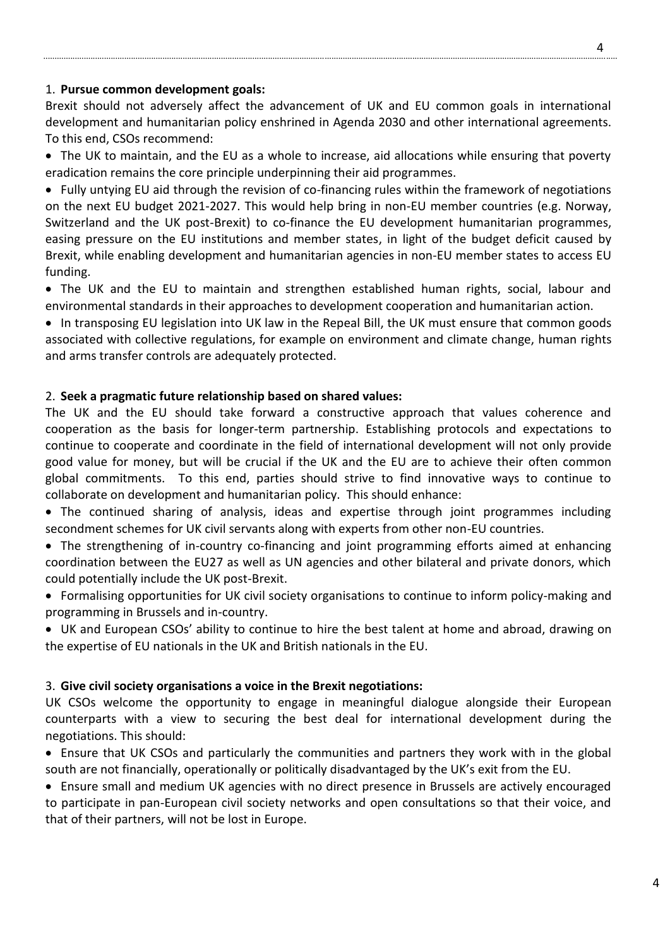#### 1. **Pursue common development goals:**

Brexit should not adversely affect the advancement of UK and EU common goals in international development and humanitarian policy enshrined in Agenda 2030 and other international agreements. To this end, CSOs recommend:

 The UK to maintain, and the EU as a whole to increase, aid allocations while ensuring that poverty eradication remains the core principle underpinning their aid programmes.

 Fully untying EU aid through the revision of co-financing rules within the framework of negotiations on the next EU budget 2021-2027. This would help bring in non-EU member countries (e.g. Norway, Switzerland and the UK post-Brexit) to co-finance the EU development humanitarian programmes, easing pressure on the EU institutions and member states, in light of the budget deficit caused by Brexit, while enabling development and humanitarian agencies in non-EU member states to access EU funding.

• The UK and the EU to maintain and strengthen established human rights, social, labour and environmental standards in their approaches to development cooperation and humanitarian action.

• In transposing EU legislation into UK law in the Repeal Bill, the UK must ensure that common goods associated with collective regulations, for example on environment and climate change, human rights and arms transfer controls are adequately protected.

#### 2. **Seek a pragmatic future relationship based on shared values:**

The UK and the EU should take forward a constructive approach that values coherence and cooperation as the basis for longer-term partnership. Establishing protocols and expectations to continue to cooperate and coordinate in the field of international development will not only provide good value for money, but will be crucial if the UK and the EU are to achieve their often common global commitments. To this end, parties should strive to find innovative ways to continue to collaborate on development and humanitarian policy. This should enhance:

• The continued sharing of analysis, ideas and expertise through joint programmes including secondment schemes for UK civil servants along with experts from other non-EU countries.

• The strengthening of in-country co-financing and joint programming efforts aimed at enhancing coordination between the EU27 as well as UN agencies and other bilateral and private donors, which could potentially include the UK post-Brexit.

 Formalising opportunities for UK civil society organisations to continue to inform policy-making and programming in Brussels and in-country.

 UK and European CSOs' ability to continue to hire the best talent at home and abroad, drawing on the expertise of EU nationals in the UK and British nationals in the EU.

#### 3. **Give civil society organisations a voice in the Brexit negotiations:**

UK CSOs welcome the opportunity to engage in meaningful dialogue alongside their European counterparts with a view to securing the best deal for international development during the negotiations. This should:

 Ensure that UK CSOs and particularly the communities and partners they work with in the global south are not financially, operationally or politically disadvantaged by the UK's exit from the EU.

 Ensure small and medium UK agencies with no direct presence in Brussels are actively encouraged to participate in pan-European civil society networks and open consultations so that their voice, and that of their partners, will not be lost in Europe.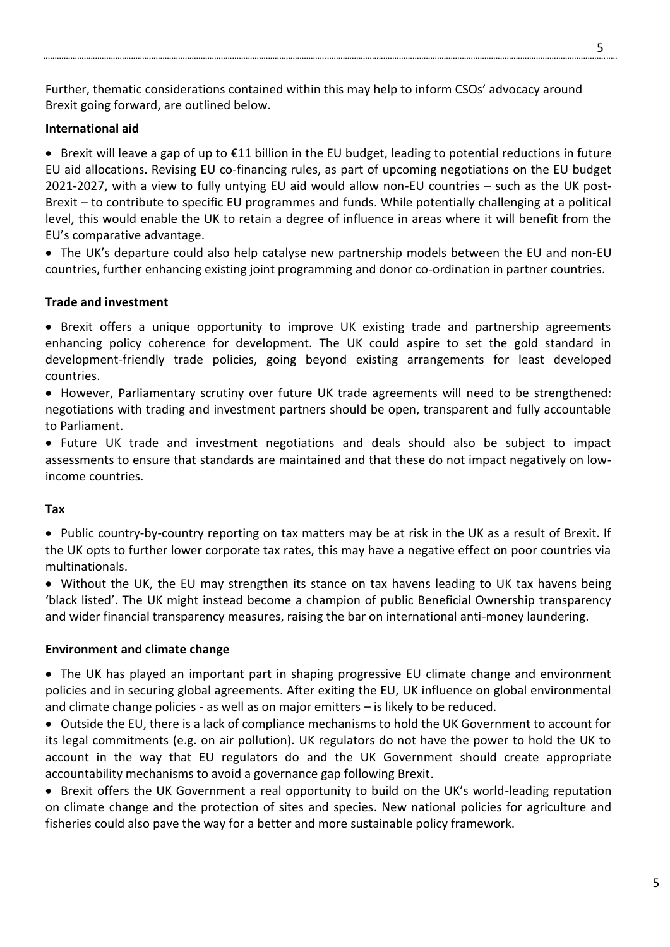Further, thematic considerations contained within this may help to inform CSOs' advocacy around Brexit going forward, are outlined below.

# **International aid**

 Brexit will leave a gap of up to €11 billion in the EU budget, leading to potential reductions in future EU aid allocations. Revising EU co-financing rules, as part of upcoming negotiations on the EU budget 2021-2027, with a view to fully untying EU aid would allow non-EU countries – such as the UK post-Brexit – to contribute to specific EU programmes and funds. While potentially challenging at a political level, this would enable the UK to retain a degree of influence in areas where it will benefit from the EU's comparative advantage.

 The UK's departure could also help catalyse new partnership models between the EU and non-EU countries, further enhancing existing joint programming and donor co-ordination in partner countries.

#### **Trade and investment**

• Brexit offers a unique opportunity to improve UK existing trade and partnership agreements enhancing policy coherence for development. The UK could aspire to set the gold standard in development-friendly trade policies, going beyond existing arrangements for least developed countries.

 However, Parliamentary scrutiny over future UK trade agreements will need to be strengthened: negotiations with trading and investment partners should be open, transparent and fully accountable to Parliament.

• Future UK trade and investment negotiations and deals should also be subject to impact assessments to ensure that standards are maintained and that these do not impact negatively on lowincome countries.

#### **Tax**

• Public country-by-country reporting on tax matters may be at risk in the UK as a result of Brexit. If the UK opts to further lower corporate tax rates, this may have a negative effect on poor countries via multinationals.

 Without the UK, the EU may strengthen its stance on tax havens leading to UK tax havens being 'black listed'. The UK might instead become a champion of public Beneficial Ownership transparency and wider financial transparency measures, raising the bar on international anti-money laundering.

#### **Environment and climate change**

 The UK has played an important part in shaping progressive EU climate change and environment policies and in securing global agreements. After exiting the EU, UK influence on global environmental and climate change policies - as well as on major emitters – is likely to be reduced.

 Outside the EU, there is a lack of compliance mechanisms to hold the UK Government to account for its legal commitments (e.g. on air pollution). UK regulators do not have the power to hold the UK to account in the way that EU regulators do and the UK Government should create appropriate accountability mechanisms to avoid a governance gap following Brexit.

• Brexit offers the UK Government a real opportunity to build on the UK's world-leading reputation on climate change and the protection of sites and species. New national policies for agriculture and fisheries could also pave the way for a better and more sustainable policy framework.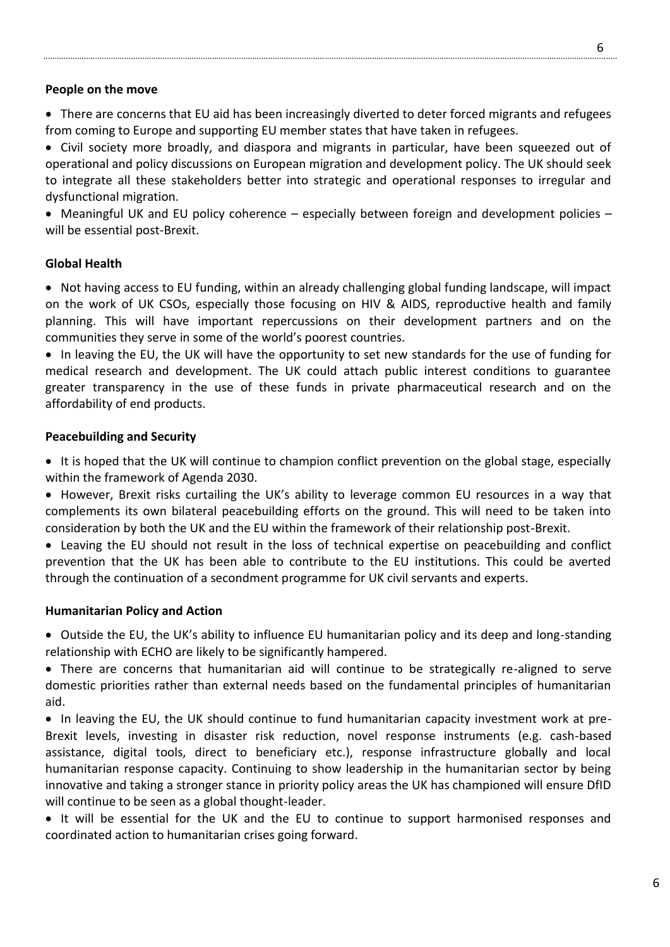#### **People on the move**

• There are concerns that EU aid has been increasingly diverted to deter forced migrants and refugees from coming to Europe and supporting EU member states that have taken in refugees.

• Civil society more broadly, and diaspora and migrants in particular, have been squeezed out of operational and policy discussions on European migration and development policy. The UK should seek to integrate all these stakeholders better into strategic and operational responses to irregular and dysfunctional migration.

 Meaningful UK and EU policy coherence – especially between foreign and development policies – will be essential post-Brexit.

#### **Global Health**

 Not having access to EU funding, within an already challenging global funding landscape, will impact on the work of UK CSOs, especially those focusing on HIV & AIDS, reproductive health and family planning. This will have important repercussions on their development partners and on the communities they serve in some of the world's poorest countries.

• In leaving the EU, the UK will have the opportunity to set new standards for the use of funding for medical research and development. The UK could attach public interest conditions to guarantee greater transparency in the use of these funds in private pharmaceutical research and on the affordability of end products.

#### **Peacebuilding and Security**

• It is hoped that the UK will continue to champion conflict prevention on the global stage, especially within the framework of Agenda 2030.

• However, Brexit risks curtailing the UK's ability to leverage common EU resources in a way that complements its own bilateral peacebuilding efforts on the ground. This will need to be taken into consideration by both the UK and the EU within the framework of their relationship post-Brexit.

 Leaving the EU should not result in the loss of technical expertise on peacebuilding and conflict prevention that the UK has been able to contribute to the EU institutions. This could be averted through the continuation of a secondment programme for UK civil servants and experts.

#### **Humanitarian Policy and Action**

 Outside the EU, the UK's ability to influence EU humanitarian policy and its deep and long-standing relationship with ECHO are likely to be significantly hampered.

 There are concerns that humanitarian aid will continue to be strategically re-aligned to serve domestic priorities rather than external needs based on the fundamental principles of humanitarian aid.

 In leaving the EU, the UK should continue to fund humanitarian capacity investment work at pre-Brexit levels, investing in disaster risk reduction, novel response instruments (e.g. cash-based assistance, digital tools, direct to beneficiary etc.), response infrastructure globally and local humanitarian response capacity. Continuing to show leadership in the humanitarian sector by being innovative and taking a stronger stance in priority policy areas the UK has championed will ensure DfID will continue to be seen as a global thought-leader.

• It will be essential for the UK and the EU to continue to support harmonised responses and coordinated action to humanitarian crises going forward.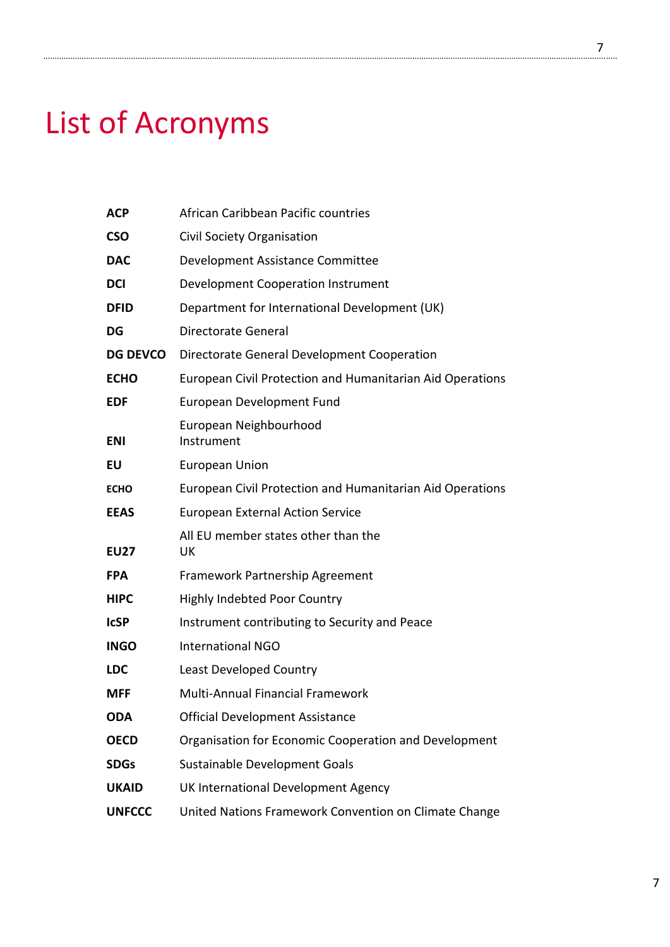# List of Acronyms

| <b>ACP</b>      | African Caribbean Pacific countries                       |
|-----------------|-----------------------------------------------------------|
| <b>CSO</b>      | Civil Society Organisation                                |
| <b>DAC</b>      | Development Assistance Committee                          |
| <b>DCI</b>      | Development Cooperation Instrument                        |
| <b>DFID</b>     | Department for International Development (UK)             |
| DG              | Directorate General                                       |
| <b>DG DEVCO</b> | Directorate General Development Cooperation               |
| <b>ECHO</b>     | European Civil Protection and Humanitarian Aid Operations |
| <b>EDF</b>      | European Development Fund                                 |
| <b>ENI</b>      | European Neighbourhood<br>Instrument                      |
| EU              | <b>European Union</b>                                     |
| <b>ECHO</b>     | European Civil Protection and Humanitarian Aid Operations |
| <b>EEAS</b>     | <b>European External Action Service</b>                   |
| <b>EU27</b>     | All EU member states other than the<br>UK                 |
| <b>FPA</b>      | Framework Partnership Agreement                           |
| <b>HIPC</b>     | <b>Highly Indebted Poor Country</b>                       |
| <b>ICSP</b>     | Instrument contributing to Security and Peace             |
| <b>INGO</b>     | <b>International NGO</b>                                  |
| <b>LDC</b>      | Least Developed Country                                   |
| <b>MFF</b>      | Multi-Annual Financial Framework                          |
| <b>ODA</b>      | <b>Official Development Assistance</b>                    |
| <b>OECD</b>     | Organisation for Economic Cooperation and Development     |
| <b>SDGs</b>     | Sustainable Development Goals                             |
| <b>UKAID</b>    | UK International Development Agency                       |
| <b>UNFCCC</b>   | United Nations Framework Convention on Climate Change     |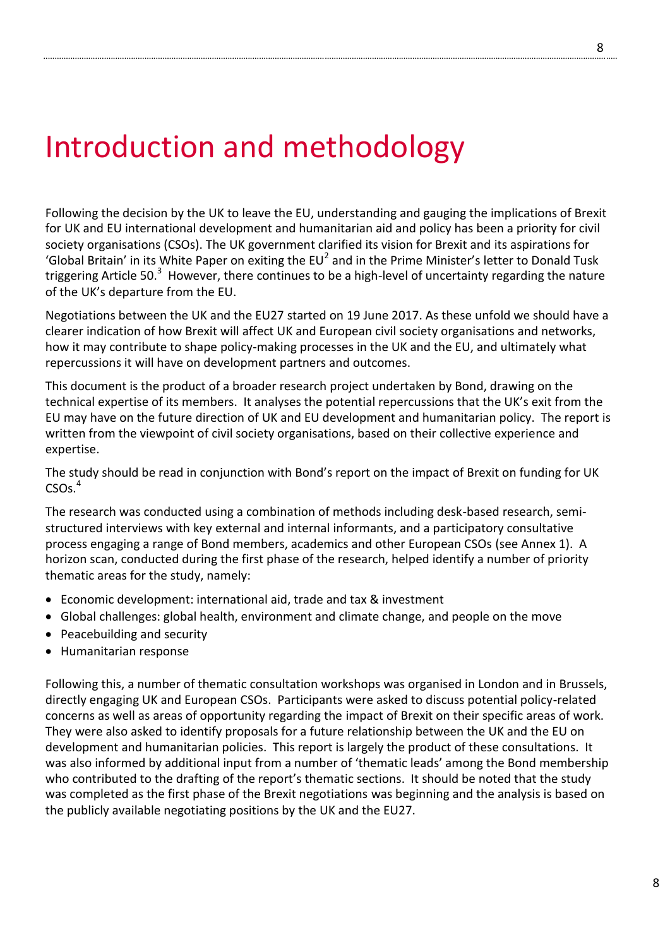# Introduction and methodology

Following the decision by the UK to leave the EU, understanding and gauging the implications of Brexit for UK and EU international development and humanitarian aid and policy has been a priority for civil society organisations (CSOs). The UK government clarified its vision for Brexit and its aspirations for 'Global Britain' in its White Paper on exiting the EU<sup>2</sup> and in the Prime Minister's letter to Donald Tusk triggering Article 50.<sup>3</sup> However, there continues to be a high-level of uncertainty regarding the nature of the UK's departure from the EU.

Negotiations between the UK and the EU27 started on 19 June 2017. As these unfold we should have a clearer indication of how Brexit will affect UK and European civil society organisations and networks, how it may contribute to shape policy-making processes in the UK and the EU, and ultimately what repercussions it will have on development partners and outcomes.

This document is the product of a broader research project undertaken by Bond, drawing on the technical expertise of its members. It analyses the potential repercussions that the UK's exit from the EU may have on the future direction of UK and EU development and humanitarian policy. The report is written from the viewpoint of civil society organisations, based on their collective experience and expertise.

The study should be read in conjunction with Bond's report on the impact of Brexit on funding for UK  $CSOs.<sup>4</sup>$ 

The research was conducted using a combination of methods including desk-based research, semistructured interviews with key external and internal informants, and a participatory consultative process engaging a range of Bond members, academics and other European CSOs (see Annex 1). A horizon scan, conducted during the first phase of the research, helped identify a number of priority thematic areas for the study, namely:

- Economic development: international aid, trade and tax & investment
- Global challenges: global health, environment and climate change, and people on the move
- Peacebuilding and security
- Humanitarian response

Following this, a number of thematic consultation workshops was organised in London and in Brussels, directly engaging UK and European CSOs. Participants were asked to discuss potential policy-related concerns as well as areas of opportunity regarding the impact of Brexit on their specific areas of work. They were also asked to identify proposals for a future relationship between the UK and the EU on development and humanitarian policies. This report is largely the product of these consultations. It was also informed by additional input from a number of 'thematic leads' among the Bond membership who contributed to the drafting of the report's thematic sections. It should be noted that the study was completed as the first phase of the Brexit negotiations was beginning and the analysis is based on the publicly available negotiating positions by the UK and the EU27.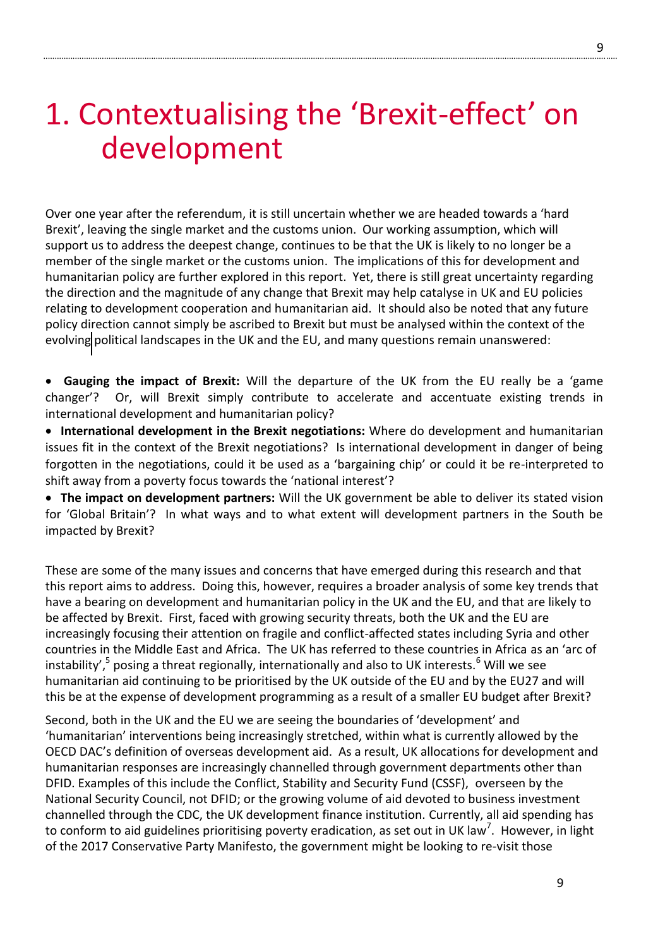# 1. Contextualising the 'Brexit-effect' on development

Over one year after the referendum, it is still uncertain whether we are headed towards a 'hard Brexit', leaving the single market and the customs union. Our working assumption, which will support us to address the deepest change, continues to be that the UK is likely to no longer be a member of the single market or the customs union. The implications of this for development and humanitarian policy are further explored in this report. Yet, there is still great uncertainty regarding the direction and the magnitude of any change that Brexit may help catalyse in UK and EU policies relating to development cooperation and humanitarian aid. It should also be noted that any future policy direction cannot simply be ascribed to Brexit but must be analysed within the context of the evolving political landscapes in the UK and the EU, and many questions remain unanswered:

 **Gauging the impact of Brexit:** Will the departure of the UK from the EU really be a 'game changer'? Or, will Brexit simply contribute to accelerate and accentuate existing trends in international development and humanitarian policy?

 **International development in the Brexit negotiations:** Where do development and humanitarian issues fit in the context of the Brexit negotiations? Is international development in danger of being forgotten in the negotiations, could it be used as a 'bargaining chip' or could it be re-interpreted to shift away from a poverty focus towards the 'national interest'?

 **The impact on development partners:** Will the UK government be able to deliver its stated vision for 'Global Britain'? In what ways and to what extent will development partners in the South be impacted by Brexit?

These are some of the many issues and concerns that have emerged during this research and that this report aims to address. Doing this, however, requires a broader analysis of some key trends that have a bearing on development and humanitarian policy in the UK and the EU, and that are likely to be affected by Brexit. First, faced with growing security threats, both the UK and the EU are increasingly focusing their attention on fragile and conflict-affected states including Syria and other countries in the Middle East and Africa. The UK has referred to these countries in Africa as an 'arc of instability',<sup>5</sup> posing a threat regionally, internationally and also to UK interests.<sup>6</sup> Will we see humanitarian aid continuing to be prioritised by the UK outside of the EU and by the EU27 and will this be at the expense of development programming as a result of a smaller EU budget after Brexit?

Second, both in the UK and the EU we are seeing the boundaries of 'development' and 'humanitarian' interventions being increasingly stretched, within what is currently allowed by the OECD DAC's definition of overseas development aid. As a result, UK allocations for development and humanitarian responses are increasingly channelled through government departments other than DFID. Examples of this include the Conflict, Stability and Security Fund (CSSF), overseen by the National Security Council, not DFID; or the growing volume of aid devoted to business investment channelled through the CDC, the UK development finance institution. Currently, all aid spending has to conform to aid guidelines prioritising poverty eradication, as set out in UK law<sup>7</sup>. However, in light of the 2017 Conservative Party Manifesto, the government might be looking to re-visit those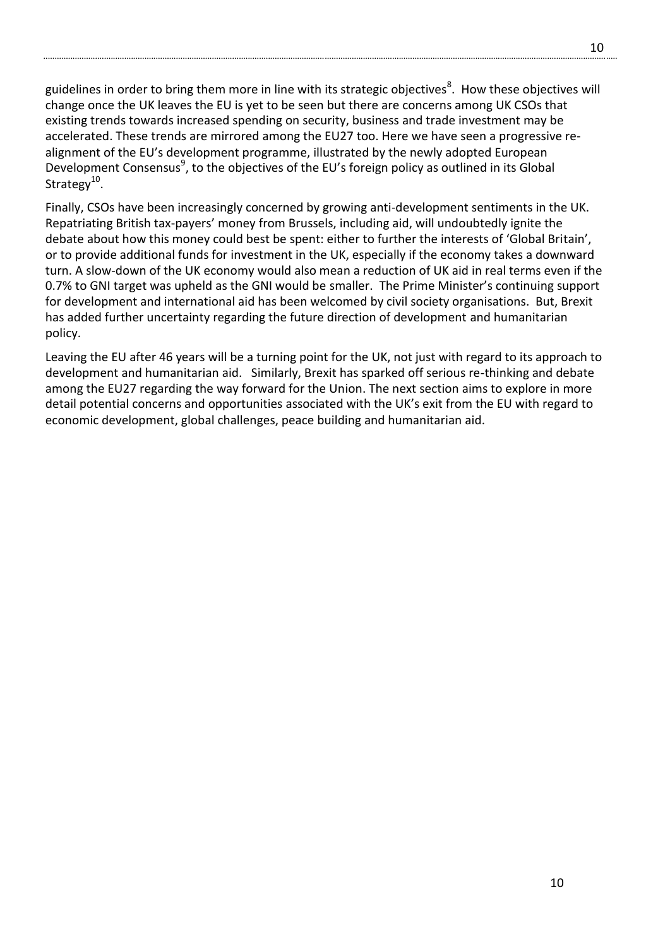guidelines in order to bring them more in line with its strategic objectives<sup>8</sup>. How these objectives will change once the UK leaves the EU is yet to be seen but there are concerns among UK CSOs that existing trends towards increased spending on security, business and trade investment may be accelerated. These trends are mirrored among the EU27 too. Here we have seen a progressive realignment of the EU's development programme, illustrated by the newly adopted European Development Consensus<sup>9</sup>, to the objectives of the EU's foreign policy as outlined in its Global Strategy<sup>10</sup>.

Finally, CSOs have been increasingly concerned by growing anti-development sentiments in the UK. Repatriating British tax-payers' money from Brussels, including aid, will undoubtedly ignite the debate about how this money could best be spent: either to further the interests of 'Global Britain', or to provide additional funds for investment in the UK, especially if the economy takes a downward turn. A slow-down of the UK economy would also mean a reduction of UK aid in real terms even if the 0.7% to GNI target was upheld as the GNI would be smaller. The Prime Minister's continuing support for development and international aid has been welcomed by civil society organisations. But, Brexit has added further uncertainty regarding the future direction of development and humanitarian policy.

Leaving the EU after 46 years will be a turning point for the UK, not just with regard to its approach to development and humanitarian aid. Similarly, Brexit has sparked off serious re-thinking and debate among the EU27 regarding the way forward for the Union. The next section aims to explore in more detail potential concerns and opportunities associated with the UK's exit from the EU with regard to economic development, global challenges, peace building and humanitarian aid.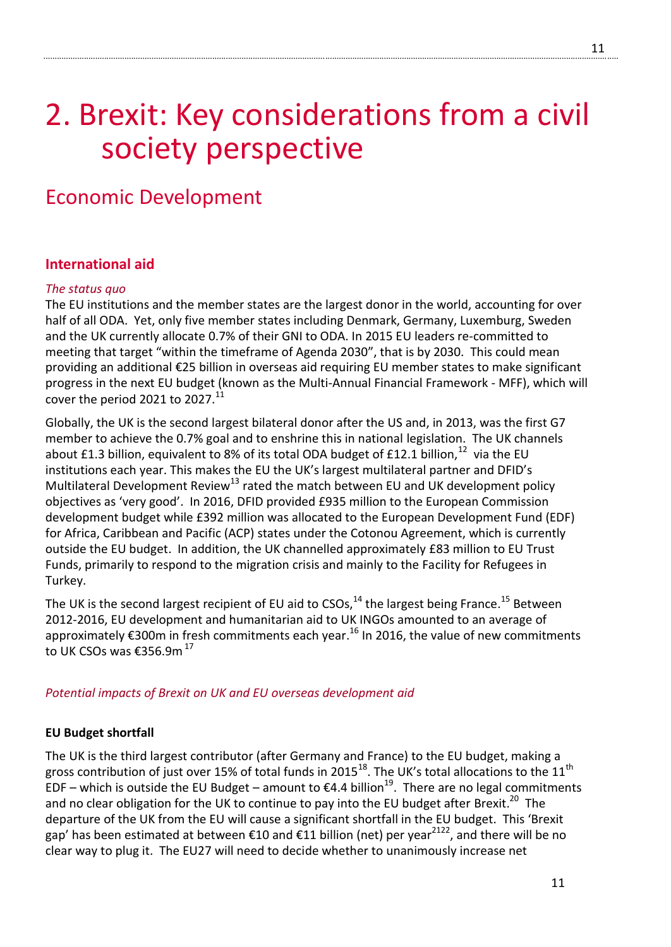# 2. Brexit: Key considerations from a civil society perspective

# Economic Development

# **International aid**

# *The status quo*

The EU institutions and the member states are the largest donor in the world, accounting for over half of all ODA. Yet, only five member states including Denmark, Germany, Luxemburg, Sweden and the UK currently allocate 0.7% of their GNI to ODA. In 2015 EU leaders re-committed to meeting that target "within the timeframe of Agenda 2030", that is by 2030. This could mean providing an additional €25 billion in overseas aid requiring EU member states to make significant progress in the next EU budget (known as the Multi-Annual Financial Framework - MFF), which will cover the period 2021 to 2027. $^{11}$ 

Globally, the UK is the second largest bilateral donor after the US and, in 2013, was the first G7 member to achieve the 0.7% goal and to enshrine this in national legislation. The UK channels about £1.3 billion, equivalent to 8% of its total ODA budget of £12.1 billion,  $^{12}$  via the EU institutions each year. This makes the EU the UK's largest multilateral partner and DFID's Multilateral Development Review<sup>13</sup> rated the match between EU and UK development policy objectives as 'very good'. In 2016, DFID provided £935 million to the European Commission development budget while £392 million was allocated to the European Development Fund (EDF) for Africa, Caribbean and Pacific (ACP) states under the Cotonou Agreement, which is currently outside the EU budget. In addition, the UK channelled approximately £83 million to EU Trust Funds, primarily to respond to the migration crisis and mainly to the Facility for Refugees in Turkey.

The UK is the second largest recipient of EU aid to CSOs,<sup>14</sup> the largest being France.<sup>15</sup> Between 2012-2016, EU development and humanitarian aid to UK INGOs amounted to an average of approximately €300m in fresh commitments each year.<sup>16</sup> In 2016, the value of new commitments to UK CSOs was €356.9m  $^{17}$ 

# *Potential impacts of Brexit on UK and EU overseas development aid*

# **EU Budget shortfall**

The UK is the third largest contributor (after Germany and France) to the EU budget, making a gross contribution of just over 15% of total funds in 2015<sup>18</sup>. The UK's total allocations to the 11<sup>th</sup> EDF – which is outside the EU Budget – amount to €4.4 billion<sup>19</sup>. There are no legal commitments and no clear obligation for the UK to continue to pay into the EU budget after Brexit.<sup>20</sup> The departure of the UK from the EU will cause a significant shortfall in the EU budget. This 'Brexit gap' has been estimated at between €10 and €11 billion (net) per year<sup>2122</sup>, and there will be no clear way to plug it. The EU27 will need to decide whether to unanimously increase net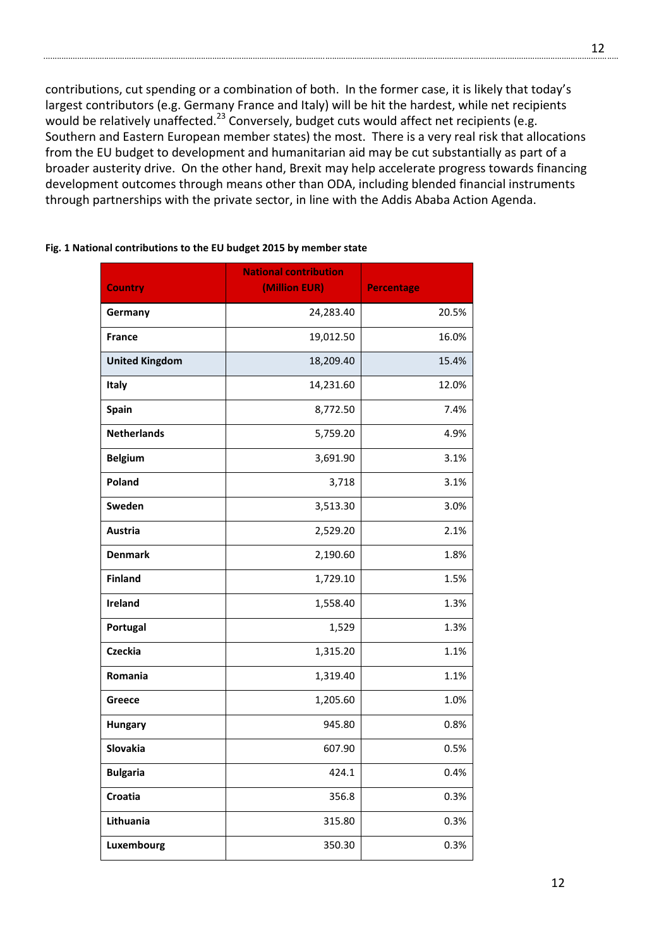contributions, cut spending or a combination of both. In the former case, it is likely that today's largest contributors (e.g. Germany France and Italy) will be hit the hardest, while net recipients would be relatively unaffected.<sup>23</sup> Conversely, budget cuts would affect net recipients (e.g. Southern and Eastern European member states) the most. There is a very real risk that allocations from the EU budget to development and humanitarian aid may be cut substantially as part of a broader austerity drive. On the other hand, Brexit may help accelerate progress towards financing development outcomes through means other than ODA, including blended financial instruments through partnerships with the private sector, in line with the Addis Ababa Action Agenda.

| <b>Country</b>        | <b>National contribution</b><br>(Million EUR) | <b>Percentage</b> |
|-----------------------|-----------------------------------------------|-------------------|
|                       |                                               |                   |
| Germany               | 24,283.40                                     | 20.5%             |
| <b>France</b>         | 19,012.50                                     | 16.0%             |
| <b>United Kingdom</b> | 18,209.40                                     | 15.4%             |
| Italy                 | 14,231.60                                     | 12.0%             |
| <b>Spain</b>          | 8,772.50                                      | 7.4%              |
| <b>Netherlands</b>    | 5,759.20                                      | 4.9%              |
| <b>Belgium</b>        | 3,691.90                                      | 3.1%              |
| Poland                | 3,718                                         | 3.1%              |
| Sweden                | 3,513.30                                      | 3.0%              |
| Austria               | 2,529.20                                      | 2.1%              |
| <b>Denmark</b>        | 2,190.60                                      | 1.8%              |
| <b>Finland</b>        | 1,729.10                                      | 1.5%              |
| Ireland               | 1,558.40                                      | 1.3%              |
| Portugal              | 1,529                                         | 1.3%              |
| <b>Czeckia</b>        | 1,315.20                                      | 1.1%              |
| Romania               | 1,319.40                                      | 1.1%              |
| Greece                | 1,205.60                                      | 1.0%              |
| <b>Hungary</b>        | 945.80                                        | 0.8%              |
| Slovakia              | 607.90                                        | 0.5%              |
| <b>Bulgaria</b>       | 424.1                                         | 0.4%              |
| Croatia               | 356.8                                         | 0.3%              |
| Lithuania             | 315.80                                        | 0.3%              |
| Luxembourg            | 350.30                                        | 0.3%              |

#### **Fig. 1 National contributions to the EU budget 2015 by member state**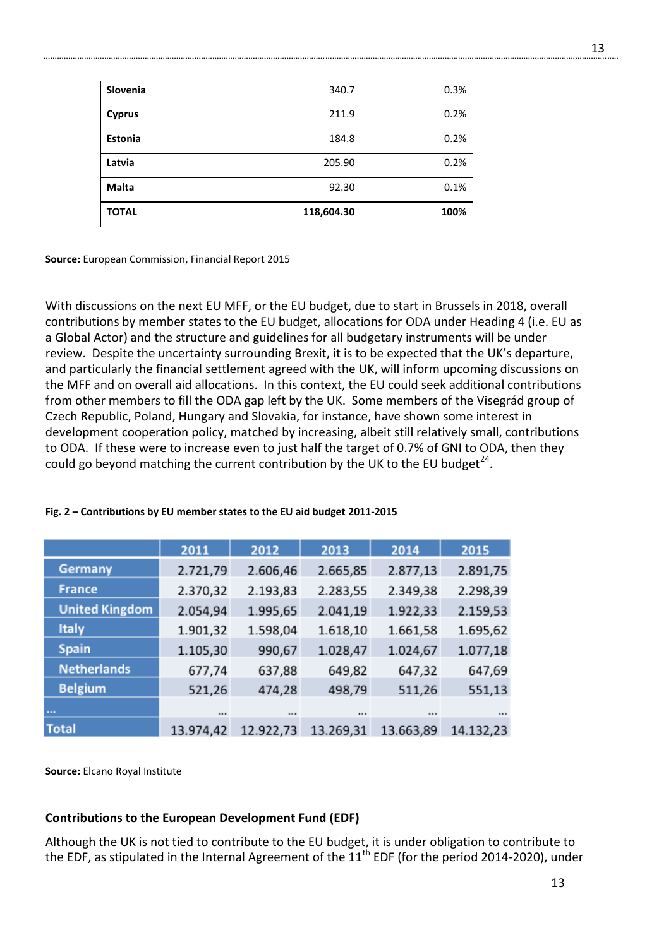| Slovenia       | 340.7      | 0.3% |
|----------------|------------|------|
| <b>Cyprus</b>  | 211.9      | 0.2% |
| <b>Estonia</b> | 184.8      | 0.2% |
| Latvia         | 205.90     | 0.2% |
| <b>Malta</b>   | 92.30      | 0.1% |
| <b>TOTAL</b>   | 118,604.30 | 100% |

**Source:** European Commission, Financial Report 2015

With discussions on the next EU MFF, or the EU budget, due to start in Brussels in 2018, overall contributions by member states to the EU budget, allocations for ODA under Heading 4 (i.e. EU as a Global Actor) and the structure and guidelines for all budgetary instruments will be under review. Despite the uncertainty surrounding Brexit, it is to be expected that the UK's departure, and particularly the financial settlement agreed with the UK, will inform upcoming discussions on the MFF and on overall aid allocations. In this context, the EU could seek additional contributions from other members to fill the ODA gap left by the UK. Some members of the Visegrád group of Czech Republic, Poland, Hungary and Slovakia, for instance, have shown some interest in development cooperation policy, matched by increasing, albeit still relatively small, contributions to ODA. If these were to increase even to just half the target of 0.7% of GNI to ODA, then they could go beyond matching the current contribution by the UK to the EU budget<sup>24</sup>.

|                       | 2011      | 2012      | 2013      | 2014      | 2015      |
|-----------------------|-----------|-----------|-----------|-----------|-----------|
| <b>Germany</b>        | 2.721,79  | 2.606,46  | 2.665,85  | 2.877,13  | 2.891,75  |
| <b>France</b>         | 2.370,32  | 2.193,83  | 2.283,55  | 2.349,38  | 2.298,39  |
| <b>United Kingdom</b> | 2.054,94  | 1.995,65  | 2.041,19  | 1.922,33  | 2.159,53  |
| <b>Italy</b>          | 1.901,32  | 1.598,04  | 1.618,10  | 1.661,58  | 1.695,62  |
| <b>Spain</b>          | 1.105,30  | 990,67    | 1.028,47  | 1.024,67  | 1.077,18  |
| <b>Netherlands</b>    | 677,74    | 637,88    | 649,82    | 647,32    | 647,69    |
| <b>Belgium</b>        | 521,26    | 474,28    | 498,79    | 511,26    | 551,13    |
| 1999                  |           |           |           | 1.11      |           |
| <b>Total</b>          | 13.974,42 | 12.922,73 | 13.269,31 | 13.663,89 | 14.132,23 |

#### **Fig. 2 – Contributions by EU member states to the EU aid budget 2011-2015**

**Source:** Elcano Royal Institute

#### **Contributions to the European Development Fund (EDF)**

Although the UK is not tied to contribute to the EU budget, it is under obligation to contribute to the EDF, as stipulated in the Internal Agreement of the  $11<sup>th</sup>$  EDF (for the period 2014-2020), under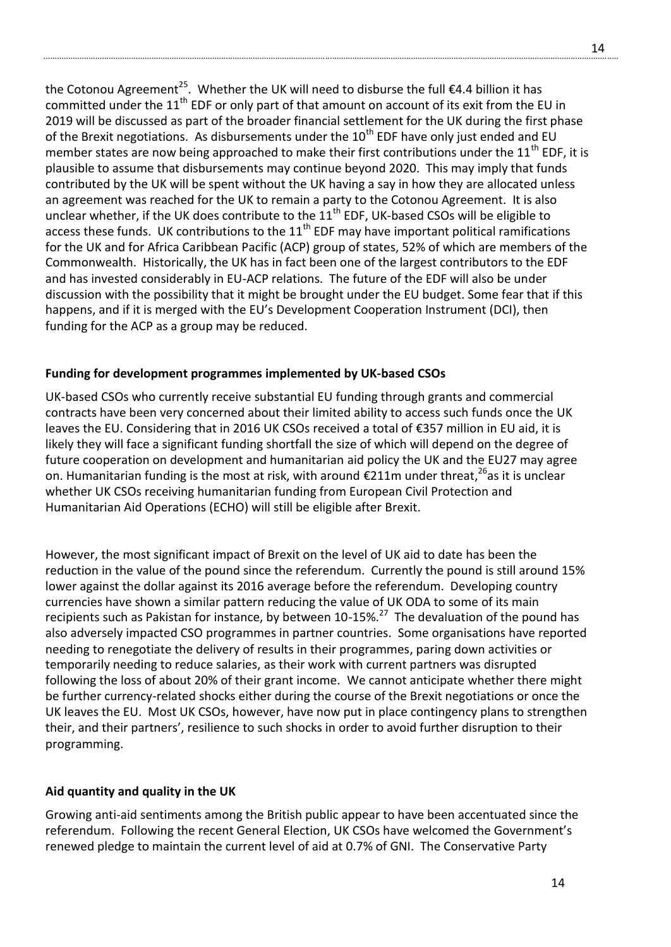the Cotonou Agreement<sup>25</sup>. Whether the UK will need to disburse the full  $\epsilon$ 4.4 billion it has committed under the  $11<sup>th</sup>$  EDF or only part of that amount on account of its exit from the EU in 2019 will be discussed as part of the broader financial settlement for the UK during the first phase of the Brexit negotiations. As disbursements under the  $10^{th}$  EDF have only just ended and EU member states are now being approached to make their first contributions under the  $11<sup>th</sup>$  EDF, it is plausible to assume that disbursements may continue beyond 2020. This may imply that funds contributed by the UK will be spent without the UK having a say in how they are allocated unless an agreement was reached for the UK to remain a party to the Cotonou Agreement. It is also unclear whether, if the UK does contribute to the  $11<sup>th</sup>$  EDF, UK-based CSOs will be eligible to access these funds. UK contributions to the  $11<sup>th</sup>$  EDF may have important political ramifications for the UK and for Africa Caribbean Pacific (ACP) group of states, 52% of which are members of the Commonwealth. Historically, the UK has in fact been one of the largest contributors to the EDF and has invested considerably in EU-ACP relations. The future of the EDF will also be under discussion with the possibility that it might be brought under the EU budget. Some fear that if this happens, and if it is merged with the EU's Development Cooperation Instrument (DCI), then funding for the ACP as a group may be reduced.

# **Funding for development programmes implemented by UK-based CSOs**

UK-based CSOs who currently receive substantial EU funding through grants and commercial contracts have been very concerned about their limited ability to access such funds once the UK leaves the EU. Considering that in 2016 UK CSOs received a total of €357 million in EU aid, it is likely they will face a significant funding shortfall the size of which will depend on the degree of future cooperation on development and humanitarian aid policy the UK and the EU27 may agree on. Humanitarian funding is the most at risk, with around  $\epsilon$ 211m under threat,<sup>26</sup>as it is unclear whether UK CSOs receiving humanitarian funding from European Civil Protection and Humanitarian Aid Operations (ECHO) will still be eligible after Brexit.

However, the most significant impact of Brexit on the level of UK aid to date has been the reduction in the value of the pound since the referendum. Currently the pound is still around 15% lower against the dollar against its 2016 average before the referendum. Developing country currencies have shown a similar pattern reducing the value of UK ODA to some of its main recipients such as Pakistan for instance, by between 10-15%.<sup>27</sup> The devaluation of the pound has also adversely impacted CSO programmes in partner countries. Some organisations have reported needing to renegotiate the delivery of results in their programmes, paring down activities or temporarily needing to reduce salaries, as their work with current partners was disrupted following the loss of about 20% of their grant income. We cannot anticipate whether there might be further currency-related shocks either during the course of the Brexit negotiations or once the UK leaves the EU. Most UK CSOs, however, have now put in place contingency plans to strengthen their, and their partners', resilience to such shocks in order to avoid further disruption to their programming.

#### **Aid quantity and quality in the UK**

Growing anti-aid sentiments among the British public appear to have been accentuated since the referendum. Following the recent General Election, UK CSOs have welcomed the Government's renewed pledge to maintain the current level of aid at 0.7% of GNI. The Conservative Party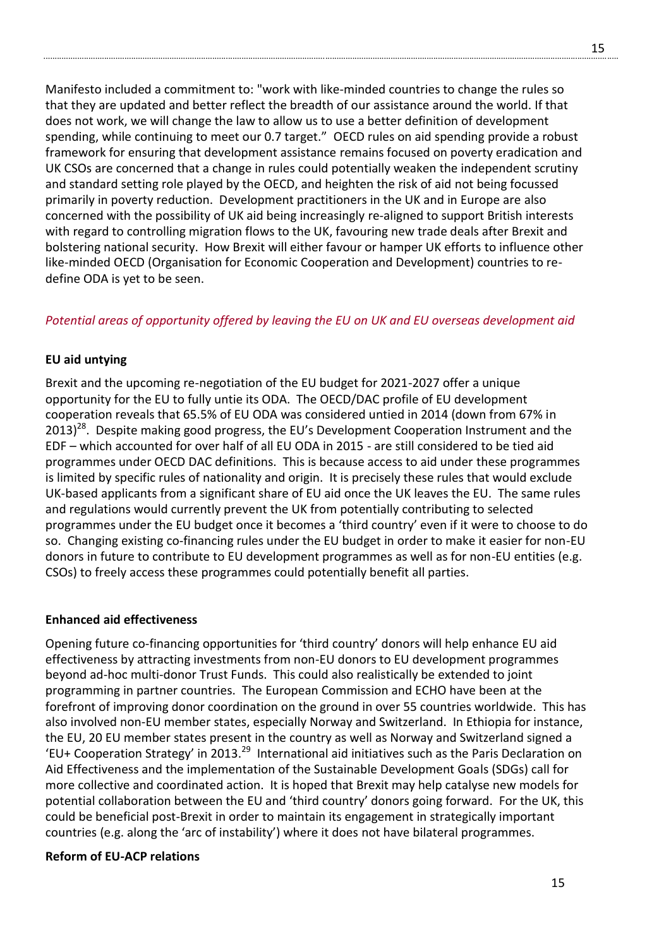Manifesto included a commitment to: "work with like-minded countries to change the rules so that they are updated and better reflect the breadth of our assistance around the world. If that does not work, we will change the law to allow us to use a better definition of development spending, while continuing to meet our 0.7 target." OECD rules on aid spending provide a robust framework for ensuring that development assistance remains focused on poverty eradication and UK CSOs are concerned that a change in rules could potentially weaken the independent scrutiny and standard setting role played by the OECD, and heighten the risk of aid not being focussed primarily in poverty reduction. Development practitioners in the UK and in Europe are also concerned with the possibility of UK aid being increasingly re-aligned to support British interests with regard to controlling migration flows to the UK, favouring new trade deals after Brexit and bolstering national security. How Brexit will either favour or hamper UK efforts to influence other like-minded OECD (Organisation for Economic Cooperation and Development) countries to redefine ODA is yet to be seen.

# *Potential areas of opportunity offered by leaving the EU on UK and EU overseas development aid*

#### **EU aid untying**

Brexit and the upcoming re-negotiation of the EU budget for 2021-2027 offer a unique opportunity for the EU to fully untie its ODA. The OECD/DAC profile of EU development cooperation reveals that 65.5% of EU ODA was considered untied in 2014 (down from 67% in  $2013)^{28}$ . Despite making good progress, the EU's Development Cooperation Instrument and the EDF – which accounted for over half of all EU ODA in 2015 - are still considered to be tied aid programmes under OECD DAC definitions. This is because access to aid under these programmes is limited by specific rules of nationality and origin. It is precisely these rules that would exclude UK-based applicants from a significant share of EU aid once the UK leaves the EU. The same rules and regulations would currently prevent the UK from potentially contributing to selected programmes under the EU budget once it becomes a 'third country' even if it were to choose to do so. Changing existing co-financing rules under the EU budget in order to make it easier for non-EU donors in future to contribute to EU development programmes as well as for non-EU entities (e.g. CSOs) to freely access these programmes could potentially benefit all parties.

#### **Enhanced aid effectiveness**

Opening future co-financing opportunities for 'third country' donors will help enhance EU aid effectiveness by attracting investments from non-EU donors to EU development programmes beyond ad-hoc multi-donor Trust Funds. This could also realistically be extended to joint programming in partner countries. The European Commission and ECHO have been at the forefront of improving donor coordination on the ground in over 55 countries worldwide. This has also involved non-EU member states, especially Norway and Switzerland. In Ethiopia for instance, the EU, 20 EU member states present in the country as well as Norway and Switzerland signed a 'EU+ Cooperation Strategy' in 2013.<sup>29</sup> International aid initiatives such as the Paris Declaration on Aid Effectiveness and the implementation of the Sustainable Development Goals (SDGs) call for more collective and coordinated action. It is hoped that Brexit may help catalyse new models for potential collaboration between the EU and 'third country' donors going forward. For the UK, this could be beneficial post-Brexit in order to maintain its engagement in strategically important countries (e.g. along the 'arc of instability') where it does not have bilateral programmes.

#### **Reform of EU-ACP relations**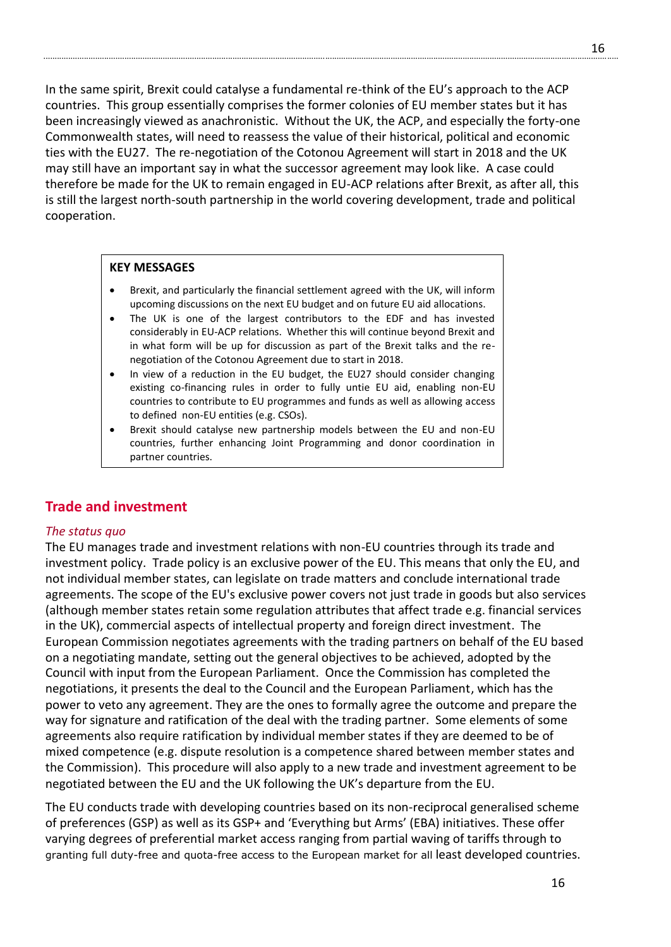In the same spirit, Brexit could catalyse a fundamental re-think of the EU's approach to the ACP countries. This group essentially comprises the former colonies of EU member states but it has been increasingly viewed as anachronistic. Without the UK, the ACP, and especially the forty-one Commonwealth states, will need to reassess the value of their historical, political and economic ties with the EU27. The re-negotiation of the Cotonou Agreement will start in 2018 and the UK may still have an important say in what the successor agreement may look like. A case could therefore be made for the UK to remain engaged in EU-ACP relations after Brexit, as after all, this is still the largest north-south partnership in the world covering development, trade and political cooperation.

### **KEY MESSAGES**

- Brexit, and particularly the financial settlement agreed with the UK, will inform upcoming discussions on the next EU budget and on future EU aid allocations.
- The UK is one of the largest contributors to the EDF and has invested considerably in EU-ACP relations. Whether this will continue beyond Brexit and in what form will be up for discussion as part of the Brexit talks and the renegotiation of the Cotonou Agreement due to start in 2018.
- In view of a reduction in the EU budget, the EU27 should consider changing existing co-financing rules in order to fully untie EU aid, enabling non-EU countries to contribute to EU programmes and funds as well as allowing access to defined non-EU entities (e.g. CSOs).
- Brexit should catalyse new partnership models between the EU and non-EU countries, further enhancing Joint Programming and donor coordination in partner countries.

# **Trade and investment**

#### *The status quo*

The EU manages trade and investment relations with non-EU countries through its trade and investment policy. Trade policy is an exclusive power of the EU. This means that only the EU, and not individual member states, can legislate on trade matters and conclude international trade agreements. The scope of the EU's exclusive power covers not just trade in goods but also services (although member states retain some regulation attributes that affect trade e.g. financial services in the UK), commercial aspects of intellectual property and foreign direct investment. The European Commission negotiates agreements with the trading partners on behalf of the EU based on a negotiating mandate, setting out the general objectives to be achieved, adopted by the Council with input from the European Parliament. Once the Commission has completed the negotiations, it presents the deal to the Council and the European Parliament, which has the power to veto any agreement. They are the ones to formally agree the outcome and prepare the way for signature and ratification of the deal with the trading partner. Some elements of some agreements also require ratification by individual member states if they are deemed to be of mixed competence (e.g. dispute resolution is a competence shared between member states and the Commission). This procedure will also apply to a new trade and investment agreement to be negotiated between the EU and the UK following the UK's departure from the EU.

The EU conducts trade with developing countries based on its non-reciprocal generalised scheme of preferences (GSP) as well as its GSP+ and 'Everything but Arms' (EBA) initiatives. These offer varying degrees of preferential market access ranging from partial waving of tariffs through to granting full duty-free and quota-free access to the European market for all least developed countries.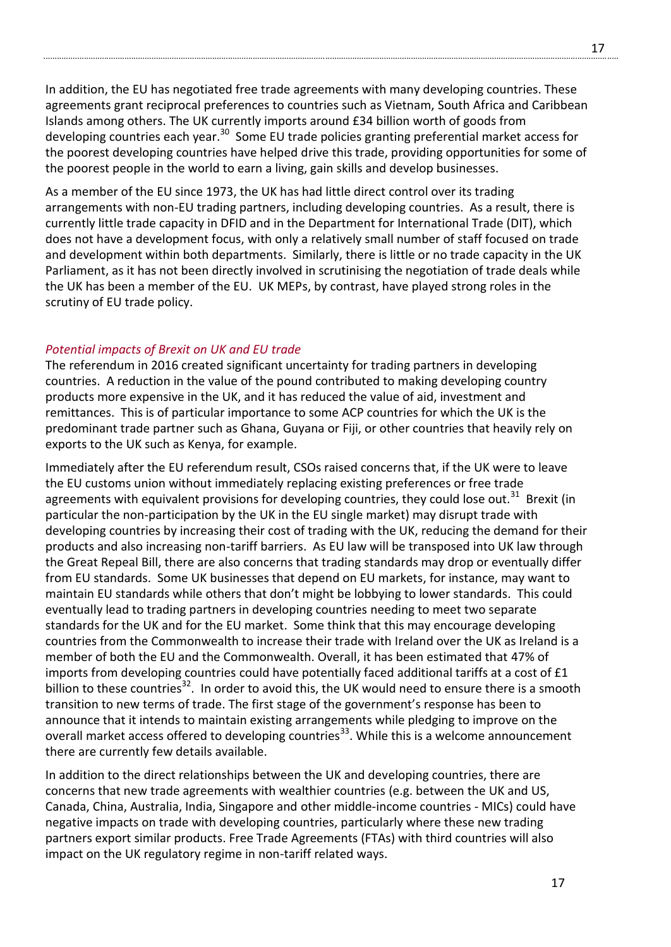In addition, the EU has negotiated free trade agreements with many developing countries. These agreements grant reciprocal preferences to countries such as Vietnam, South Africa and Caribbean Islands among others. The UK currently imports around £34 billion worth of goods from developing countries each year.<sup>30</sup> Some EU trade policies granting preferential market access for the poorest developing countries have helped drive this trade, providing opportunities for some of the poorest people in the world to earn a living, gain skills and develop businesses.

As a member of the EU since 1973, the UK has had little direct control over its trading arrangements with non-EU trading partners, including developing countries. As a result, there is currently little trade capacity in DFID and in the Department for International Trade (DIT), which does not have a development focus, with only a relatively small number of staff focused on trade and development within both departments. Similarly, there is little or no trade capacity in the UK Parliament, as it has not been directly involved in scrutinising the negotiation of trade deals while the UK has been a member of the EU. UK MEPs, by contrast, have played strong roles in the scrutiny of EU trade policy.

### *Potential impacts of Brexit on UK and EU trade*

The referendum in 2016 created significant uncertainty for trading partners in developing countries. A reduction in the value of the pound contributed to making developing country products more expensive in the UK, and it has reduced the value of aid, investment and remittances. This is of particular importance to some ACP countries for which the UK is the predominant trade partner such as Ghana, Guyana or Fiji, or other countries that heavily rely on exports to the UK such as Kenya, for example.

Immediately after the EU referendum result, CSOs raised concerns that, if the UK were to leave the EU customs union without immediately replacing existing preferences or free trade agreements with equivalent provisions for developing countries, they could lose out.<sup>31</sup> Brexit (in particular the non-participation by the UK in the EU single market) may disrupt trade with developing countries by increasing their cost of trading with the UK, reducing the demand for their products and also increasing non-tariff barriers. As EU law will be transposed into UK law through the Great Repeal Bill, there are also concerns that trading standards may drop or eventually differ from EU standards. Some UK businesses that depend on EU markets, for instance, may want to maintain EU standards while others that don't might be lobbying to lower standards. This could eventually lead to trading partners in developing countries needing to meet two separate standards for the UK and for the EU market. Some think that this may encourage developing countries from the Commonwealth to increase their trade with Ireland over the UK as Ireland is a member of both the EU and the Commonwealth. Overall, it has been estimated that 47% of imports from developing countries could have potentially faced additional tariffs at a cost of £1 billion to these countries<sup>32</sup>. In order to avoid this, the UK would need to ensure there is a smooth transition to new terms of trade. The first stage of the government's response has been to announce that it intends to maintain existing arrangements while pledging to improve on the overall market access offered to developing countries<sup>33</sup>. While this is a welcome announcement there are currently few details available.

In addition to the direct relationships between the UK and developing countries, there are concerns that new trade agreements with wealthier countries (e.g. between the UK and US, Canada, China, Australia, India, Singapore and other middle-income countries - MICs) could have negative impacts on trade with developing countries, particularly where these new trading partners export similar products. Free Trade Agreements (FTAs) with third countries will also impact on the UK regulatory regime in non-tariff related ways.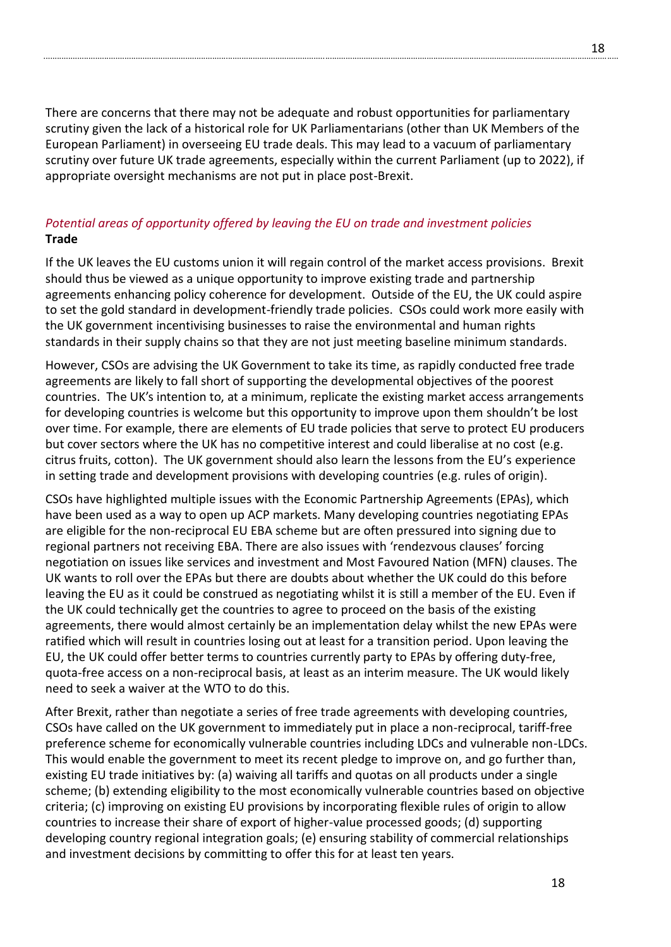There are concerns that there may not be adequate and robust opportunities for parliamentary scrutiny given the lack of a historical role for UK Parliamentarians (other than UK Members of the European Parliament) in overseeing EU trade deals. This may lead to a vacuum of parliamentary scrutiny over future UK trade agreements, especially within the current Parliament (up to 2022), if appropriate oversight mechanisms are not put in place post-Brexit.

# *Potential areas of opportunity offered by leaving the EU on trade and investment policies* **Trade**

If the UK leaves the EU customs union it will regain control of the market access provisions. Brexit should thus be viewed as a unique opportunity to improve existing trade and partnership agreements enhancing policy coherence for development. Outside of the EU, the UK could aspire to set the gold standard in development-friendly trade policies. CSOs could work more easily with the UK government incentivising businesses to raise the environmental and human rights standards in their supply chains so that they are not just meeting baseline minimum standards.

However, CSOs are advising the UK Government to take its time, as rapidly conducted free trade agreements are likely to fall short of supporting the developmental objectives of the poorest countries. The UK's intention to, at a minimum, replicate the existing market access arrangements for developing countries is welcome but this opportunity to improve upon them shouldn't be lost over time. For example, there are elements of EU trade policies that serve to protect EU producers but cover sectors where the UK has no competitive interest and could liberalise at no cost (e.g. citrus fruits, cotton). The UK government should also learn the lessons from the EU's experience in setting trade and development provisions with developing countries (e.g. rules of origin).

CSOs have highlighted multiple issues with the Economic Partnership Agreements (EPAs), which have been used as a way to open up ACP markets. Many developing countries negotiating EPAs are eligible for the non-reciprocal EU EBA scheme but are often pressured into signing due to regional partners not receiving EBA. There are also issues with 'rendezvous clauses' forcing negotiation on issues like services and investment and Most Favoured Nation (MFN) clauses. The UK wants to roll over the EPAs but there are doubts about whether the UK could do this before leaving the EU as it could be construed as negotiating whilst it is still a member of the EU. Even if the UK could technically get the countries to agree to proceed on the basis of the existing agreements, there would almost certainly be an implementation delay whilst the new EPAs were ratified which will result in countries losing out at least for a transition period. Upon leaving the EU, the UK could offer better terms to countries currently party to EPAs by offering duty-free, quota-free access on a non-reciprocal basis, at least as an interim measure. The UK would likely need to seek a waiver at the WTO to do this.

After Brexit, rather than negotiate a series of free trade agreements with developing countries, CSOs have called on the UK government to immediately put in place a non-reciprocal, tariff-free preference scheme for economically vulnerable countries including LDCs and vulnerable non-LDCs. This would enable the government to meet its recent pledge to improve on, and go further than, existing EU trade initiatives by: (a) waiving all tariffs and quotas on all products under a single scheme; (b) extending eligibility to the most economically vulnerable countries based on objective criteria; (c) improving on existing EU provisions by incorporating flexible rules of origin to allow countries to increase their share of export of higher-value processed goods; (d) supporting developing country regional integration goals; (e) ensuring stability of commercial relationships and investment decisions by committing to offer this for at least ten years.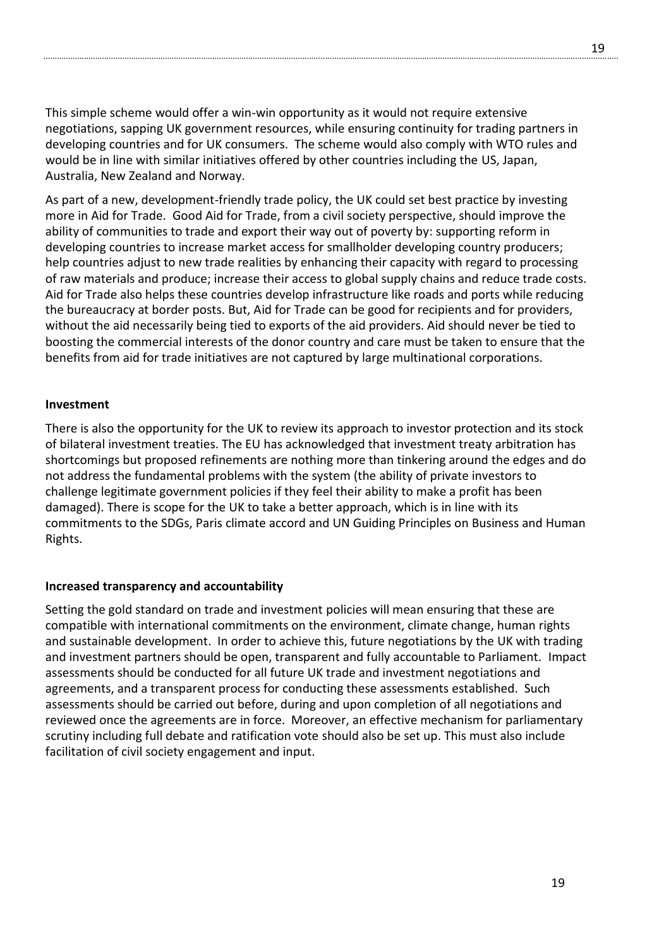This simple scheme would offer a win-win opportunity as it would not require extensive negotiations, sapping UK government resources, while ensuring continuity for trading partners in developing countries and for UK consumers. The scheme would also comply with WTO rules and would be in line with similar initiatives offered by other countries including the US, Japan, Australia, New Zealand and Norway.

As part of a new, development-friendly trade policy, the UK could set best practice by investing more in Aid for Trade. Good Aid for Trade, from a civil society perspective, should improve the ability of communities to trade and export their way out of poverty by: supporting reform in developing countries to increase market access for smallholder developing country producers; help countries adjust to new trade realities by enhancing their capacity with regard to processing of raw materials and produce; increase their access to global supply chains and reduce trade costs. Aid for Trade also helps these countries develop infrastructure like roads and ports while reducing the bureaucracy at border posts. But, Aid for Trade can be good for recipients and for providers, without the aid necessarily being tied to exports of the aid providers. Aid should never be tied to boosting the commercial interests of the donor country and care must be taken to ensure that the benefits from aid for trade initiatives are not captured by large multinational corporations.

#### **Investment**

There is also the opportunity for the UK to review its approach to investor protection and its stock of bilateral investment treaties. The EU has acknowledged that investment treaty arbitration has shortcomings but proposed refinements are nothing more than tinkering around the edges and do not address the fundamental problems with the system (the ability of private investors to challenge legitimate government policies if they feel their ability to make a profit has been damaged). There is scope for the UK to take a better approach, which is in line with its commitments to the SDGs, Paris climate accord and UN Guiding Principles on Business and Human Rights.

#### **Increased transparency and accountability**

Setting the gold standard on trade and investment policies will mean ensuring that these are compatible with international commitments on the environment, climate change, human rights and sustainable development. In order to achieve this, future negotiations by the UK with trading and investment partners should be open, transparent and fully accountable to Parliament. Impact assessments should be conducted for all future UK trade and investment negotiations and agreements, and a transparent process for conducting these assessments established. Such assessments should be carried out before, during and upon completion of all negotiations and reviewed once the agreements are in force. Moreover, an effective mechanism for parliamentary scrutiny including full debate and ratification vote should also be set up. This must also include facilitation of civil society engagement and input.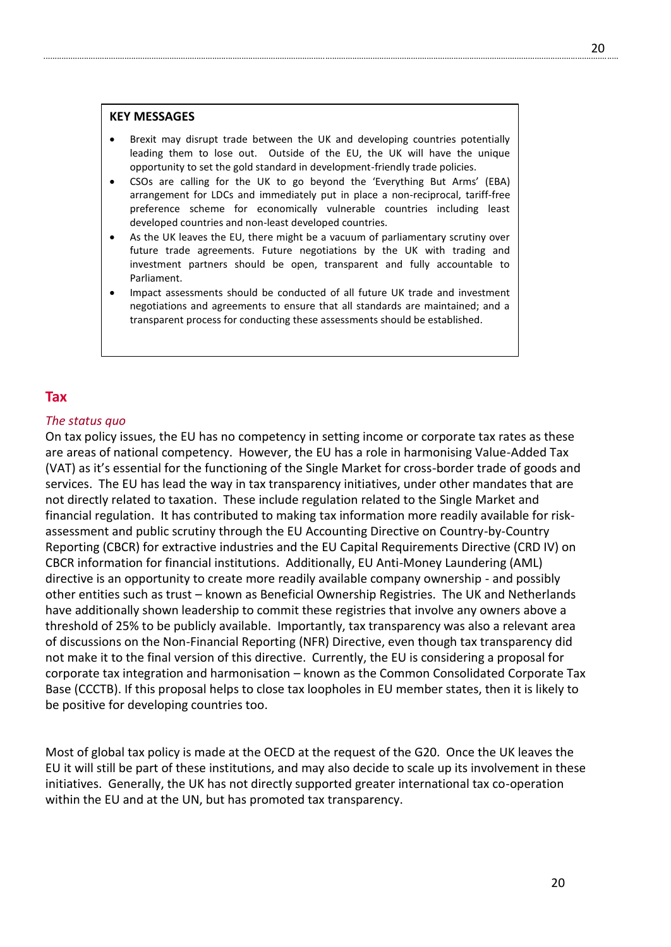#### **KEY MESSAGES**

- Brexit may disrupt trade between the UK and developing countries potentially leading them to lose out. Outside of the EU, the UK will have the unique opportunity to set the gold standard in development-friendly trade policies.
- CSOs are calling for the UK to go beyond the 'Everything But Arms' (EBA) arrangement for LDCs and immediately put in place a non-reciprocal, tariff-free preference scheme for economically vulnerable countries including least developed countries and non-least developed countries.
- As the UK leaves the EU, there might be a vacuum of parliamentary scrutiny over future trade agreements. Future negotiations by the UK with trading and investment partners should be open, transparent and fully accountable to Parliament.
- Impact assessments should be conducted of all future UK trade and investment negotiations and agreements to ensure that all standards are maintained; and a transparent process for conducting these assessments should be established.

# **Tax**

#### *The status quo*

On tax policy issues, the EU has no competency in setting income or corporate tax rates as these are areas of national competency. However, the EU has a role in harmonising Value-Added Tax (VAT) as it's essential for the functioning of the Single Market for cross-border trade of goods and services. The EU has lead the way in tax transparency initiatives, under other mandates that are not directly related to taxation. These include regulation related to the Single Market and financial regulation. It has contributed to making tax information more readily available for riskassessment and public scrutiny through the EU Accounting Directive on Country-by-Country Reporting (CBCR) for extractive industries and the EU Capital Requirements Directive (CRD IV) on CBCR information for financial institutions. Additionally, EU Anti-Money Laundering (AML) directive is an opportunity to create more readily available company ownership - and possibly other entities such as trust – known as Beneficial Ownership Registries. The UK and Netherlands have additionally shown leadership to commit these registries that involve any owners above a threshold of 25% to be publicly available. Importantly, tax transparency was also a relevant area of discussions on the Non-Financial Reporting (NFR) Directive, even though tax transparency did not make it to the final version of this directive. Currently, the EU is considering a proposal for corporate tax integration and harmonisation – known as the Common Consolidated Corporate Tax Base (CCCTB). If this proposal helps to close tax loopholes in EU member states, then it is likely to be positive for developing countries too.

Most of global tax policy is made at the OECD at the request of the G20. Once the UK leaves the EU it will still be part of these institutions, and may also decide to scale up its involvement in these initiatives. Generally, the UK has not directly supported greater international tax co-operation within the EU and at the UN, but has promoted tax transparency.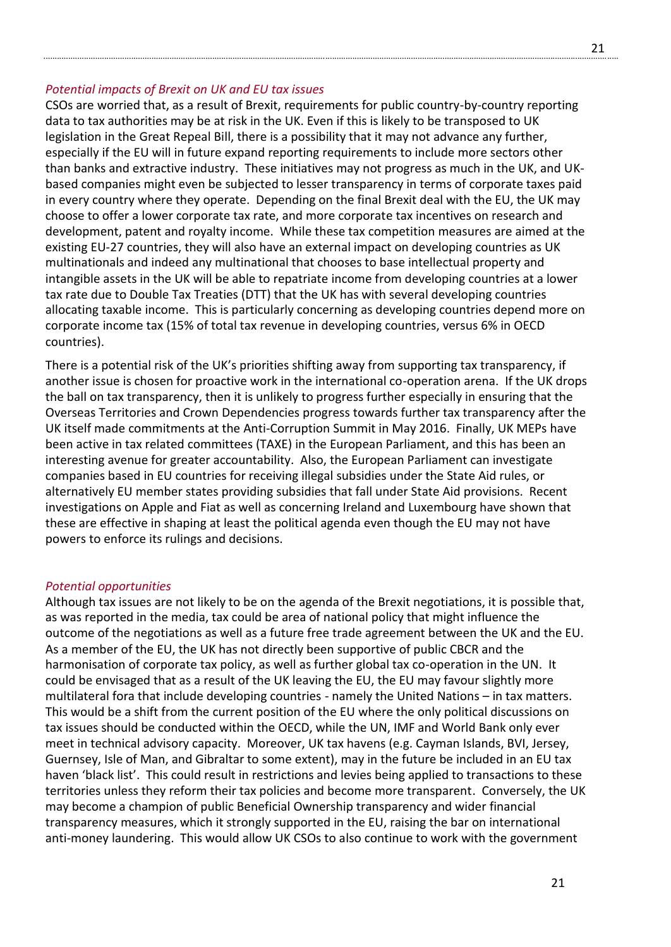#### *Potential impacts of Brexit on UK and EU tax issues*

CSOs are worried that, as a result of Brexit, requirements for public country-by-country reporting data to tax authorities may be at risk in the UK. Even if this is likely to be transposed to UK legislation in the Great Repeal Bill, there is a possibility that it may not advance any further, especially if the EU will in future expand reporting requirements to include more sectors other than banks and extractive industry. These initiatives may not progress as much in the UK, and UKbased companies might even be subjected to lesser transparency in terms of corporate taxes paid in every country where they operate. Depending on the final Brexit deal with the EU, the UK may choose to offer a lower corporate tax rate, and more corporate tax incentives on research and development, patent and royalty income. While these tax competition measures are aimed at the existing EU-27 countries, they will also have an external impact on developing countries as UK multinationals and indeed any multinational that chooses to base intellectual property and intangible assets in the UK will be able to repatriate income from developing countries at a lower tax rate due to Double Tax Treaties (DTT) that the UK has with several developing countries allocating taxable income. This is particularly concerning as developing countries depend more on corporate income tax (15% of total tax revenue in developing countries, versus 6% in OECD countries).

There is a potential risk of the UK's priorities shifting away from supporting tax transparency, if another issue is chosen for proactive work in the international co-operation arena. If the UK drops the ball on tax transparency, then it is unlikely to progress further especially in ensuring that the Overseas Territories and Crown Dependencies progress towards further tax transparency after the UK itself made commitments at the Anti-Corruption Summit in May 2016. Finally, UK MEPs have been active in tax related committees (TAXE) in the European Parliament, and this has been an interesting avenue for greater accountability. Also, the European Parliament can investigate companies based in EU countries for receiving illegal subsidies under the State Aid rules, or alternatively EU member states providing subsidies that fall under State Aid provisions. Recent investigations on Apple and Fiat as well as concerning Ireland and Luxembourg have shown that these are effective in shaping at least the political agenda even though the EU may not have powers to enforce its rulings and decisions.

#### *Potential opportunities*

Although tax issues are not likely to be on the agenda of the Brexit negotiations, it is possible that, as was reported in the media, tax could be area of national policy that might influence the outcome of the negotiations as well as a future free trade agreement between the UK and the EU. As a member of the EU, the UK has not directly been supportive of public CBCR and the harmonisation of corporate tax policy, as well as further global tax co-operation in the UN. It could be envisaged that as a result of the UK leaving the EU, the EU may favour slightly more multilateral fora that include developing countries - namely the United Nations – in tax matters. This would be a shift from the current position of the EU where the only political discussions on tax issues should be conducted within the OECD, while the UN, IMF and World Bank only ever meet in technical advisory capacity. Moreover, UK tax havens (e.g. Cayman Islands, BVI, Jersey, Guernsey, Isle of Man, and Gibraltar to some extent), may in the future be included in an EU tax haven 'black list'. This could result in restrictions and levies being applied to transactions to these territories unless they reform their tax policies and become more transparent. Conversely, the UK may become a champion of public Beneficial Ownership transparency and wider financial transparency measures, which it strongly supported in the EU, raising the bar on international anti-money laundering. This would allow UK CSOs to also continue to work with the government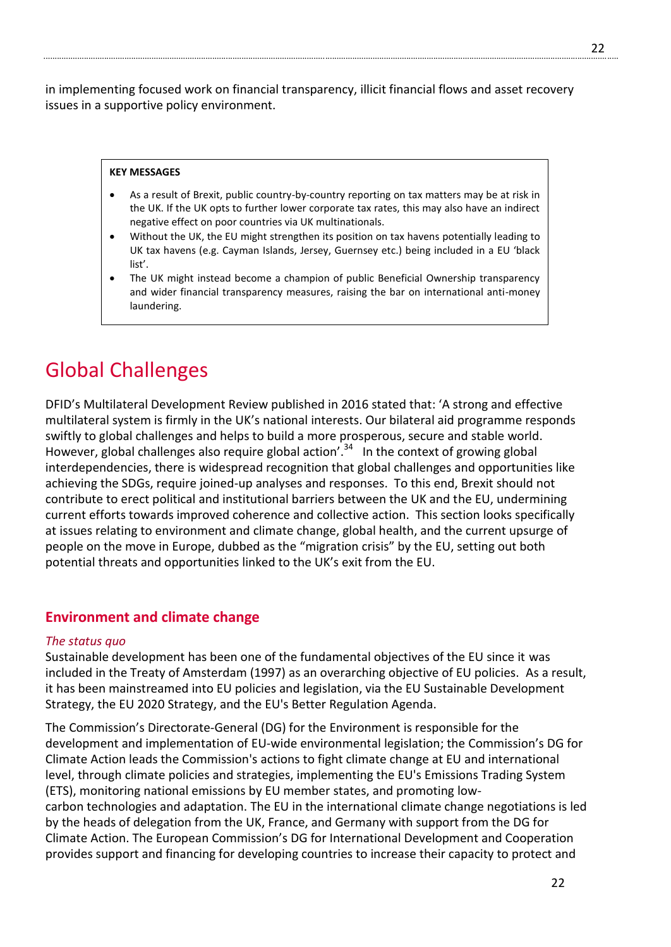in implementing focused work on financial transparency, illicit financial flows and asset recovery issues in a supportive policy environment.

#### **KEY MESSAGES**

- As a result of Brexit, public country-by-country reporting on tax matters may be at risk in the UK. If the UK opts to further lower corporate tax rates, this may also have an indirect negative effect on poor countries via UK multinationals.
- Without the UK, the EU might strengthen its position on tax havens potentially leading to UK tax havens (e.g. Cayman Islands, Jersey, Guernsey etc.) being included in a EU 'black list'.
- The UK might instead become a champion of public Beneficial Ownership transparency and wider financial transparency measures, raising the bar on international anti-money laundering.

# Global Challenges

DFID's Multilateral Development Review published in 2016 stated that: 'A strong and effective multilateral system is firmly in the UK's national interests. Our bilateral aid programme responds swiftly to global challenges and helps to build a more prosperous, secure and stable world. However, global challenges also require global action'.<sup>34</sup> In the context of growing global interdependencies, there is widespread recognition that global challenges and opportunities like achieving the SDGs, require joined-up analyses and responses. To this end, Brexit should not contribute to erect political and institutional barriers between the UK and the EU, undermining current efforts towards improved coherence and collective action. This section looks specifically at issues relating to environment and climate change, global health, and the current upsurge of people on the move in Europe, dubbed as the "migration crisis" by the EU, setting out both potential threats and opportunities linked to the UK's exit from the EU.

# **Environment and climate change**

#### *The status quo*

Sustainable development has been one of the fundamental objectives of the EU since it was included in the Treaty of Amsterdam (1997) as an overarching objective of EU policies. As a result, it has been mainstreamed into EU policies and legislation, via the EU Sustainable Development Strategy, the EU 2020 Strategy, and the EU's Better Regulation Agenda.

The Commission's Directorate-General (DG) for the Environment is responsible for the development and implementation of EU-wide environmental legislation; the Commission's DG for Climate Action leads the Commission's actions to fight climate change at EU and international level, through climate policies and strategies, implementing the EU's Emissions Trading System (ETS), monitoring national emissions by EU member states, and promoting lowcarbon technologies and adaptation. The EU in the international climate change negotiations is led by the heads of delegation from the UK, France, and Germany with support from the DG for Climate Action. The European Commission's DG for International Development and Cooperation provides support and financing for developing countries to increase their capacity to protect and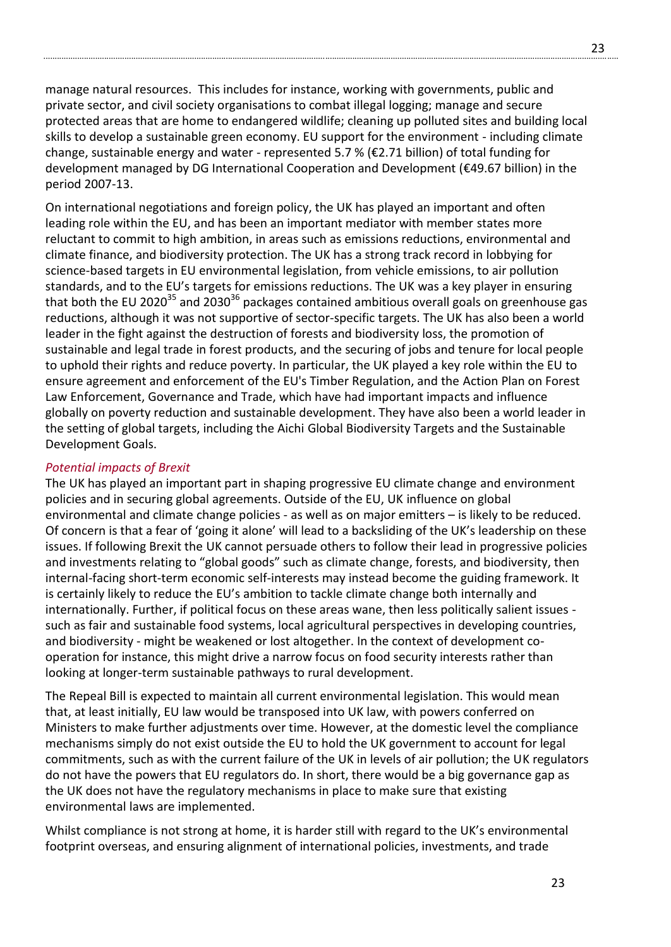manage natural resources. This includes for instance, working with governments, public and private sector, and civil society organisations to combat illegal logging; manage and secure protected areas that are home to endangered wildlife; cleaning up polluted sites and building local skills to develop a sustainable green economy. EU support for the environment - including climate change, sustainable energy and water - represented 5.7 % ( $\epsilon$ 2.71 billion) of total funding for development managed by DG International Cooperation and Development (€49.67 billion) in the period 2007-13.

On international negotiations and foreign policy, the UK has played an important and often leading role within the EU, and has been an important mediator with member states more reluctant to commit to high ambition, in areas such as emissions reductions, environmental and climate finance, and biodiversity protection. The UK has a strong track record in lobbying for science-based targets in EU environmental legislation, from vehicle emissions, to air pollution standards, and to the EU's targets for emissions reductions. The UK was a key player in ensuring that both the EU 2020<sup>35</sup> and 2030<sup>36</sup> packages contained ambitious overall goals on greenhouse gas reductions, although it was not supportive of sector-specific targets. The UK has also been a world leader in the fight against the destruction of forests and biodiversity loss, the promotion of sustainable and legal trade in forest products, and the securing of jobs and tenure for local people to uphold their rights and reduce poverty. In particular, the UK played a key role within the EU to ensure agreement and enforcement of the EU's Timber Regulation, and the Action Plan on Forest Law Enforcement, Governance and Trade, which have had important impacts and influence globally on poverty reduction and sustainable development. They have also been a world leader in the setting of global targets, including the Aichi Global Biodiversity Targets and the Sustainable Development Goals.

### *Potential impacts of Brexit*

The UK has played an important part in shaping progressive EU climate change and environment policies and in securing global agreements. Outside of the EU, UK influence on global environmental and climate change policies - as well as on major emitters – is likely to be reduced. Of concern is that a fear of 'going it alone' will lead to a backsliding of the UK's leadership on these issues. If following Brexit the UK cannot persuade others to follow their lead in progressive policies and investments relating to "global goods" such as climate change, forests, and biodiversity, then internal-facing short-term economic self-interests may instead become the guiding framework. It is certainly likely to reduce the EU's ambition to tackle climate change both internally and internationally. Further, if political focus on these areas wane, then less politically salient issues such as fair and sustainable food systems, local agricultural perspectives in developing countries, and biodiversity - might be weakened or lost altogether. In the context of development cooperation for instance, this might drive a narrow focus on food security interests rather than looking at longer-term sustainable pathways to rural development.

The Repeal Bill is expected to maintain all current environmental legislation. This would mean that, at least initially, EU law would be transposed into UK law, with powers conferred on Ministers to make further adjustments over time. However, at the domestic level the compliance mechanisms simply do not exist outside the EU to hold the UK government to account for legal commitments, such as with the current failure of the UK in levels of air pollution; the UK regulators do not have the powers that EU regulators do. In short, there would be a big governance gap as the UK does not have the regulatory mechanisms in place to make sure that existing environmental laws are implemented.

Whilst compliance is not strong at home, it is harder still with regard to the UK's environmental footprint overseas, and ensuring alignment of international policies, investments, and trade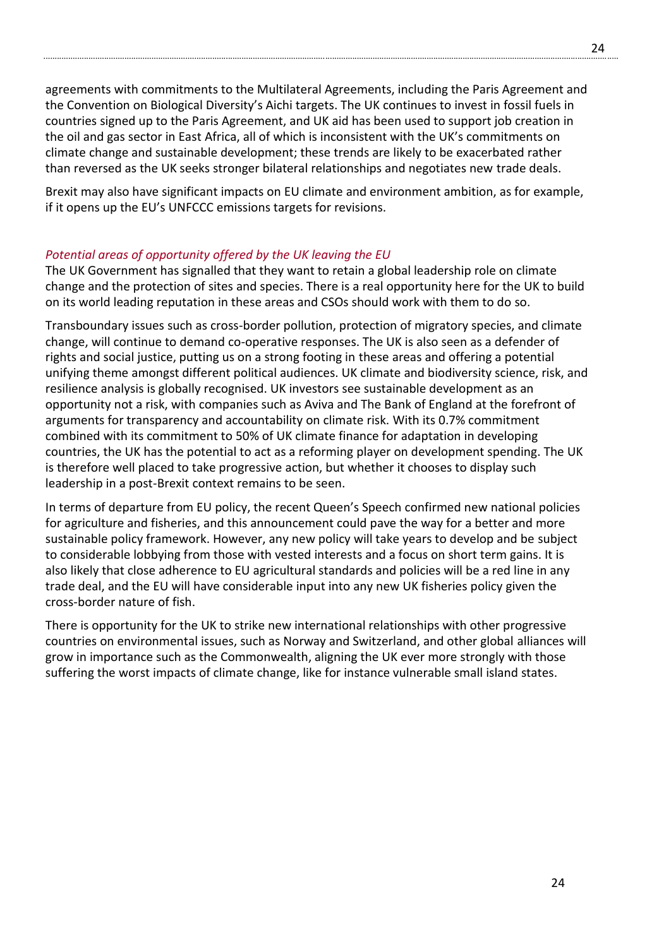agreements with commitments to the Multilateral Agreements, including the Paris Agreement and the Convention on Biological Diversity's Aichi targets. The UK continues to invest in fossil fuels in countries signed up to the Paris Agreement, and UK aid has been used to support job creation in the oil and gas sector in East Africa, all of which is inconsistent with the UK's commitments on climate change and sustainable development; these trends are likely to be exacerbated rather than reversed as the UK seeks stronger bilateral relationships and negotiates new trade deals.

Brexit may also have significant impacts on EU climate and environment ambition, as for example, if it opens up the EU's UNFCCC emissions targets for revisions.

# *Potential areas of opportunity offered by the UK leaving the EU*

The UK Government has signalled that they want to retain a global leadership role on climate change and the protection of sites and species. There is a real opportunity here for the UK to build on its world leading reputation in these areas and CSOs should work with them to do so.

Transboundary issues such as cross-border pollution, protection of migratory species, and climate change, will continue to demand co-operative responses. The UK is also seen as a defender of rights and social justice, putting us on a strong footing in these areas and offering a potential unifying theme amongst different political audiences. UK climate and biodiversity science, risk, and resilience analysis is globally recognised. UK investors see sustainable development as an opportunity not a risk, with companies such as Aviva and The Bank of England at the forefront of arguments for transparency and accountability on climate risk. With its 0.7% commitment combined with its commitment to 50% of UK climate finance for adaptation in developing countries, the UK has the potential to act as a reforming player on development spending. The UK is therefore well placed to take progressive action, but whether it chooses to display such leadership in a post-Brexit context remains to be seen.

In terms of departure from EU policy, the recent Queen's Speech confirmed new national policies for agriculture and fisheries, and this announcement could pave the way for a better and more sustainable policy framework. However, any new policy will take years to develop and be subject to considerable lobbying from those with vested interests and a focus on short term gains. It is also likely that close adherence to EU agricultural standards and policies will be a red line in any trade deal, and the EU will have considerable input into any new UK fisheries policy given the cross-border nature of fish.

There is opportunity for the UK to strike new international relationships with other progressive countries on environmental issues, such as Norway and Switzerland, and other global alliances will grow in importance such as the Commonwealth, aligning the UK ever more strongly with those suffering the worst impacts of climate change, like for instance vulnerable small island states.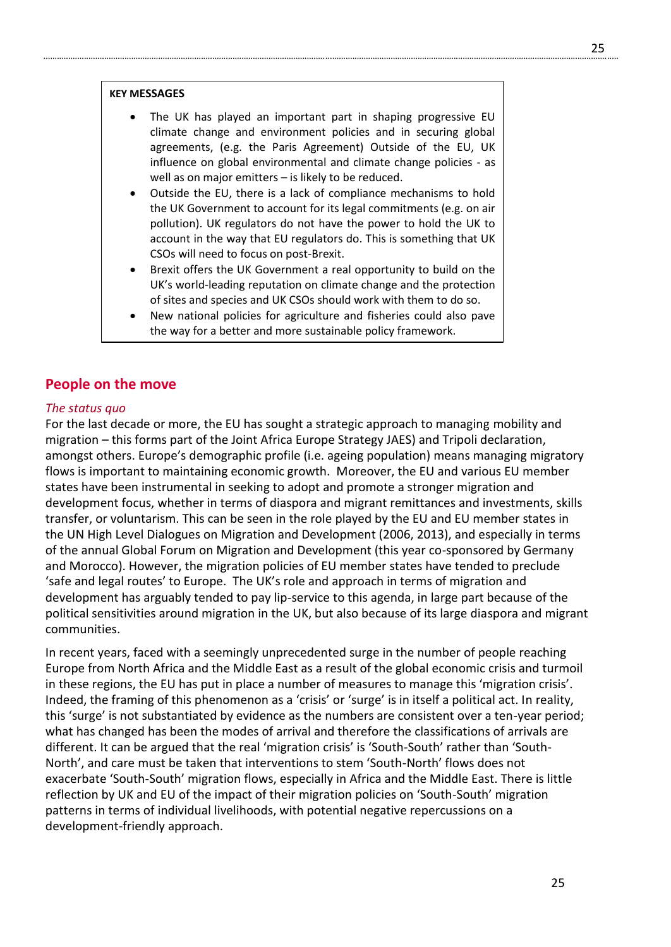#### **KEY MESSAGES**

- The UK has played an important part in shaping progressive EU climate change and environment policies and in securing global agreements, (e.g. the Paris Agreement) Outside of the EU, UK influence on global environmental and climate change policies - as well as on major emitters – is likely to be reduced.
- Outside the EU, there is a lack of compliance mechanisms to hold the UK Government to account for its legal commitments (e.g. on air pollution). UK regulators do not have the power to hold the UK to account in the way that EU regulators do. This is something that UK CSOs will need to focus on post-Brexit.
- Brexit offers the UK Government a real opportunity to build on the UK's world-leading reputation on climate change and the protection of sites and species and UK CSOs should work with them to do so.
- New national policies for agriculture and fisheries could also pave the way for a better and more sustainable policy framework.

# **People on the move**

#### *The status quo*

For the last decade or more, the EU has sought a strategic approach to managing mobility and migration – this forms part of the Joint Africa Europe Strategy JAES) and Tripoli declaration, amongst others. Europe's demographic profile (i.e. ageing population) means managing migratory flows is important to maintaining economic growth. Moreover, the EU and various EU member states have been instrumental in seeking to adopt and promote a stronger migration and development focus, whether in terms of diaspora and migrant remittances and investments, skills transfer, or voluntarism. This can be seen in the role played by the EU and EU member states in the UN High Level Dialogues on Migration and Development (2006, 2013), and especially in terms of the annual Global Forum on Migration and Development (this year co-sponsored by Germany and Morocco). However, the migration policies of EU member states have tended to preclude 'safe and legal routes' to Europe. The UK's role and approach in terms of migration and development has arguably tended to pay lip-service to this agenda, in large part because of the political sensitivities around migration in the UK, but also because of its large diaspora and migrant communities.

In recent years, faced with a seemingly unprecedented surge in the number of people reaching Europe from North Africa and the Middle East as a result of the global economic crisis and turmoil in these regions, the EU has put in place a number of measures to manage this 'migration crisis'. Indeed, the framing of this phenomenon as a 'crisis' or 'surge' is in itself a political act. In reality, this 'surge' is not substantiated by evidence as the numbers are consistent over a ten-year period; what has changed has been the modes of arrival and therefore the classifications of arrivals are different. It can be argued that the real 'migration crisis' is 'South-South' rather than 'South-North', and care must be taken that interventions to stem 'South-North' flows does not exacerbate 'South-South' migration flows, especially in Africa and the Middle East. There is little reflection by UK and EU of the impact of their migration policies on 'South-South' migration patterns in terms of individual livelihoods, with potential negative repercussions on a development-friendly approach.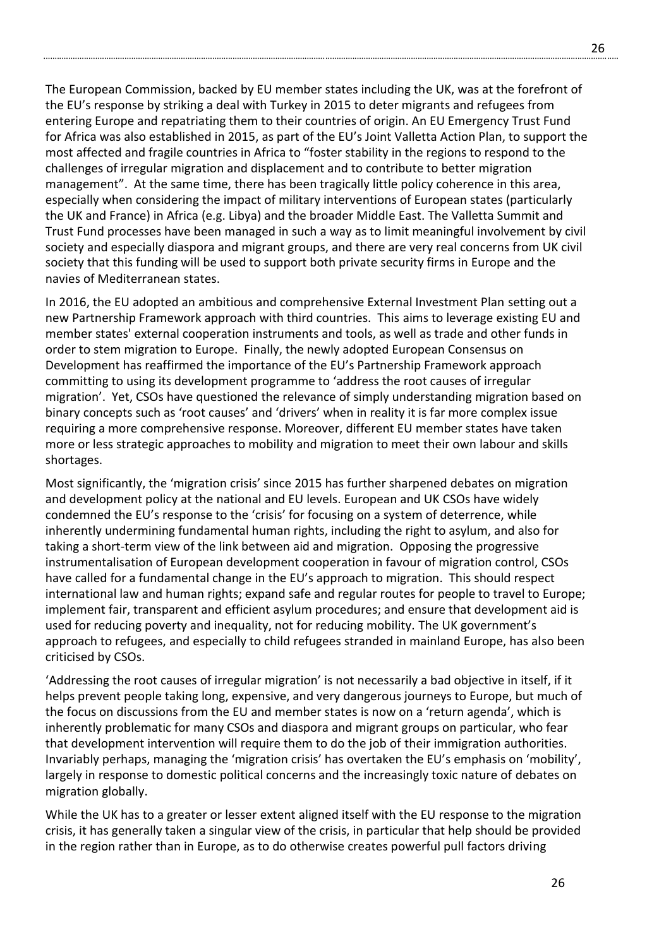The European Commission, backed by EU member states including the UK, was at the forefront of the EU's response by striking a deal with Turkey in 2015 to deter migrants and refugees from entering Europe and repatriating them to their countries of origin. An EU Emergency Trust Fund for Africa was also established in 2015, as part of the EU's Joint Valletta Action Plan, to support the most affected and fragile countries in Africa to "foster stability in the regions to respond to the challenges of irregular migration and displacement and to contribute to better migration management". At the same time, there has been tragically little policy coherence in this area, especially when considering the impact of military interventions of European states (particularly the UK and France) in Africa (e.g. Libya) and the broader Middle East. The Valletta Summit and Trust Fund processes have been managed in such a way as to limit meaningful involvement by civil society and especially diaspora and migrant groups, and there are very real concerns from UK civil society that this funding will be used to support both private security firms in Europe and the navies of Mediterranean states.

In 2016, the EU adopted an ambitious and comprehensive External Investment Plan setting out a new Partnership Framework approach with third countries. This aims to leverage existing EU and member states' external cooperation instruments and tools, as well as trade and other funds in order to stem migration to Europe. Finally, the newly adopted European Consensus on Development has reaffirmed the importance of the EU's Partnership Framework approach committing to using its development programme to 'address the root causes of irregular migration'. Yet, CSOs have questioned the relevance of simply understanding migration based on binary concepts such as 'root causes' and 'drivers' when in reality it is far more complex issue requiring a more comprehensive response. Moreover, different EU member states have taken more or less strategic approaches to mobility and migration to meet their own labour and skills shortages.

Most significantly, the 'migration crisis' since 2015 has further sharpened debates on migration and development policy at the national and EU levels. European and UK CSOs have widely condemned the EU's response to the 'crisis' for focusing on a system of deterrence, while inherently undermining fundamental human rights, including the right to asylum, and also for taking a short-term view of the link between aid and migration. Opposing the progressive instrumentalisation of European development cooperation in favour of migration control, CSOs have called for a fundamental change in the EU's approach to migration. This should respect international law and human rights; expand safe and regular routes for people to travel to Europe; implement fair, transparent and efficient asylum procedures; and ensure that development aid is used for reducing poverty and inequality, not for reducing mobility. The UK government's approach to refugees, and especially to child refugees stranded in mainland Europe, has also been criticised by CSOs.

'Addressing the root causes of irregular migration' is not necessarily a bad objective in itself, if it helps prevent people taking long, expensive, and very dangerous journeys to Europe, but much of the focus on discussions from the EU and member states is now on a 'return agenda', which is inherently problematic for many CSOs and diaspora and migrant groups on particular, who fear that development intervention will require them to do the job of their immigration authorities. Invariably perhaps, managing the 'migration crisis' has overtaken the EU's emphasis on 'mobility', largely in response to domestic political concerns and the increasingly toxic nature of debates on migration globally.

While the UK has to a greater or lesser extent aligned itself with the EU response to the migration crisis, it has generally taken a singular view of the crisis, in particular that help should be provided in the region rather than in Europe, as to do otherwise creates powerful pull factors driving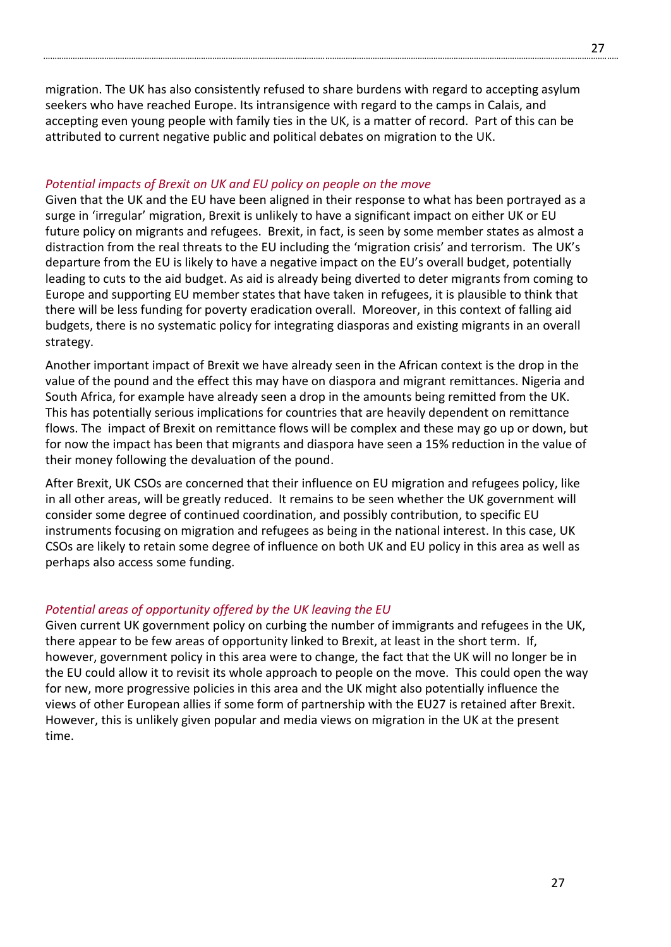migration. The UK has also consistently refused to share burdens with regard to accepting asylum seekers who have reached Europe. Its intransigence with regard to the camps in Calais, and accepting even young people with family ties in the UK, is a matter of record. Part of this can be attributed to current negative public and political debates on migration to the UK.

#### *Potential impacts of Brexit on UK and EU policy on people on the move*

Given that the UK and the EU have been aligned in their response to what has been portrayed as a surge in 'irregular' migration, Brexit is unlikely to have a significant impact on either UK or EU future policy on migrants and refugees. Brexit, in fact, is seen by some member states as almost a distraction from the real threats to the EU including the 'migration crisis' and terrorism. The UK's departure from the EU is likely to have a negative impact on the EU's overall budget, potentially leading to cuts to the aid budget. As aid is already being diverted to deter migrants from coming to Europe and supporting EU member states that have taken in refugees, it is plausible to think that there will be less funding for poverty eradication overall. Moreover, in this context of falling aid budgets, there is no systematic policy for integrating diasporas and existing migrants in an overall strategy.

Another important impact of Brexit we have already seen in the African context is the drop in the value of the pound and the effect this may have on diaspora and migrant remittances. Nigeria and South Africa, for example have already seen a drop in the amounts being remitted from the UK. This has potentially serious implications for countries that are heavily dependent on remittance flows. The impact of Brexit on remittance flows will be complex and these may go up or down, but for now the impact has been that migrants and diaspora have seen a 15% reduction in the value of their money following the devaluation of the pound.

After Brexit, UK CSOs are concerned that their influence on EU migration and refugees policy, like in all other areas, will be greatly reduced. It remains to be seen whether the UK government will consider some degree of continued coordination, and possibly contribution, to specific EU instruments focusing on migration and refugees as being in the national interest. In this case, UK CSOs are likely to retain some degree of influence on both UK and EU policy in this area as well as perhaps also access some funding.

#### *Potential areas of opportunity offered by the UK leaving the EU*

Given current UK government policy on curbing the number of immigrants and refugees in the UK, there appear to be few areas of opportunity linked to Brexit, at least in the short term. If, however, government policy in this area were to change, the fact that the UK will no longer be in the EU could allow it to revisit its whole approach to people on the move. This could open the way for new, more progressive policies in this area and the UK might also potentially influence the views of other European allies if some form of partnership with the EU27 is retained after Brexit. However, this is unlikely given popular and media views on migration in the UK at the present time.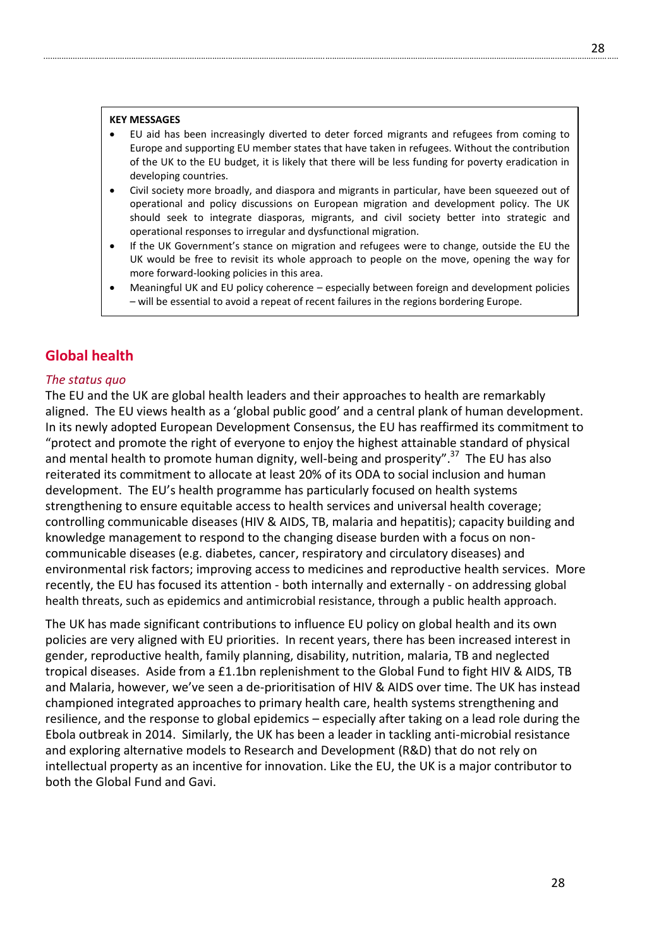- EU aid has been increasingly diverted to deter forced migrants and refugees from coming to Europe and supporting EU member states that have taken in refugees. Without the contribution of the UK to the EU budget, it is likely that there will be less funding for poverty eradication in developing countries.
- Civil society more broadly, and diaspora and migrants in particular, have been squeezed out of operational and policy discussions on European migration and development policy. The UK should seek to integrate diasporas, migrants, and civil society better into strategic and operational responses to irregular and dysfunctional migration.
- If the UK Government's stance on migration and refugees were to change, outside the EU the UK would be free to revisit its whole approach to people on the move, opening the way for more forward-looking policies in this area.
- Meaningful UK and EU policy coherence especially between foreign and development policies – will be essential to avoid a repeat of recent failures in the regions bordering Europe.

# **Global health**

#### *The status quo*

The EU and the UK are global health leaders and their approaches to health are remarkably aligned. The EU views health as a 'global public good' and a central plank of human development. In its newly adopted European Development Consensus, the EU has reaffirmed its commitment to "protect and promote the right of everyone to enjoy the highest attainable standard of physical and mental health to promote human dignity, well-being and prosperity".<sup>37</sup> The EU has also reiterated its commitment to allocate at least 20% of its ODA to social inclusion and human development. The EU's health programme has particularly focused on health systems strengthening to ensure equitable access to health services and universal health coverage; controlling communicable diseases (HIV & AIDS, TB, malaria and hepatitis); capacity building and knowledge management to respond to the changing disease burden with a focus on noncommunicable diseases (e.g. diabetes, cancer, respiratory and circulatory diseases) and environmental risk factors; improving access to medicines and reproductive health services. More recently, the EU has focused its attention - both internally and externally - on addressing global health threats, such as epidemics and antimicrobial resistance, through a public health approach.

The UK has made significant contributions to influence EU policy on global health and its own policies are very aligned with EU priorities. In recent years, there has been increased interest in gender, reproductive health, family planning, disability, nutrition, malaria, TB and neglected tropical diseases. Aside from a £1.1bn replenishment to the Global Fund to fight HIV & AIDS, TB and Malaria, however, we've seen a de-prioritisation of HIV & AIDS over time. The UK has instead championed integrated approaches to primary health care, health systems strengthening and resilience, and the response to global epidemics – especially after taking on a lead role during the Ebola outbreak in 2014. Similarly, the UK has been a leader in tackling anti-microbial resistance and exploring alternative models to Research and Development (R&D) that do not rely on intellectual property as an incentive for innovation. Like the EU, the UK is a major contributor to both the Global Fund and Gavi.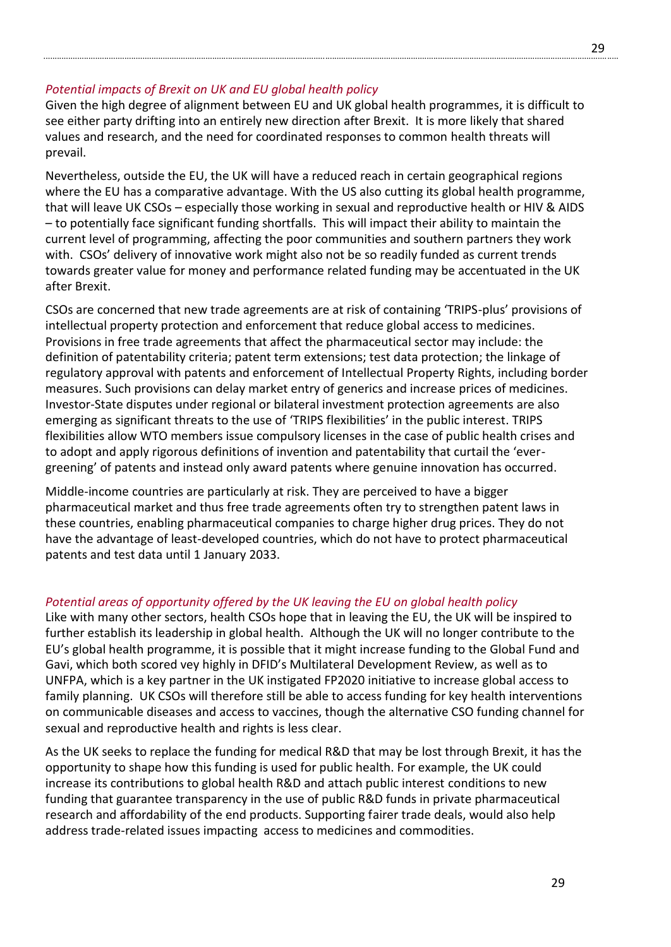#### *Potential impacts of Brexit on UK and EU global health policy*

Given the high degree of alignment between EU and UK global health programmes, it is difficult to see either party drifting into an entirely new direction after Brexit. It is more likely that shared values and research, and the need for coordinated responses to common health threats will prevail.

Nevertheless, outside the EU, the UK will have a reduced reach in certain geographical regions where the EU has a comparative advantage. With the US also cutting its global health programme, that will leave UK CSOs – especially those working in sexual and reproductive health or HIV & AIDS – to potentially face significant funding shortfalls. This will impact their ability to maintain the current level of programming, affecting the poor communities and southern partners they work with. CSOs' delivery of innovative work might also not be so readily funded as current trends towards greater value for money and performance related funding may be accentuated in the UK after Brexit.

CSOs are concerned that new trade agreements are at risk of containing 'TRIPS-plus' provisions of intellectual property protection and enforcement that reduce global access to medicines. Provisions in free trade agreements that affect the pharmaceutical sector may include: the definition of patentability criteria; patent term extensions; test data protection; the linkage of regulatory approval with patents and enforcement of Intellectual Property Rights, including border measures. Such provisions can delay market entry of generics and increase prices of medicines. Investor-State disputes under regional or bilateral investment protection agreements are also emerging as significant threats to the use of 'TRIPS flexibilities' in the public interest. TRIPS flexibilities allow WTO members issue compulsory licenses in the case of public health crises and to adopt and apply rigorous definitions of invention and patentability that curtail the 'evergreening' of patents and instead only award patents where genuine innovation has occurred.

Middle-income countries are particularly at risk. They are perceived to have a bigger pharmaceutical market and thus free trade agreements often try to strengthen patent laws in these countries, enabling pharmaceutical companies to charge higher drug prices. They do not have the advantage of least-developed countries, which do not have to protect pharmaceutical patents and test data until 1 January 2033.

#### *Potential areas of opportunity offered by the UK leaving the EU on global health policy*

Like with many other sectors, health CSOs hope that in leaving the EU, the UK will be inspired to further establish its leadership in global health. Although the UK will no longer contribute to the EU's global health programme, it is possible that it might increase funding to the Global Fund and Gavi, which both scored vey highly in DFID's Multilateral Development Review, as well as to UNFPA, which is a key partner in the UK instigated FP2020 initiative to increase global access to family planning. UK CSOs will therefore still be able to access funding for key health interventions on communicable diseases and access to vaccines, though the alternative CSO funding channel for sexual and reproductive health and rights is less clear.

As the UK seeks to replace the funding for medical R&D that may be lost through Brexit, it has the opportunity to shape how this funding is used for public health. For example, the UK could increase its contributions to global health R&D and attach public interest conditions to new funding that guarantee transparency in the use of public R&D funds in private pharmaceutical research and affordability of the end products. Supporting fairer trade deals, would also help address trade-related issues impacting access to medicines and commodities.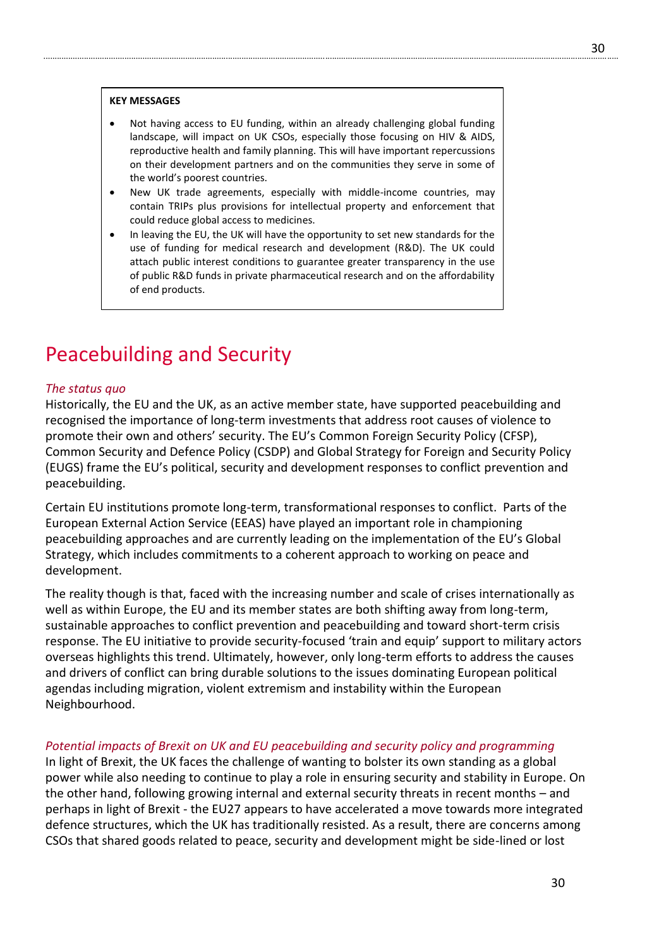#### **KEY MESSAGES**

- Not having access to EU funding, within an already challenging global funding landscape, will impact on UK CSOs, especially those focusing on HIV & AIDS, reproductive health and family planning. This will have important repercussions on their development partners and on the communities they serve in some of the world's poorest countries.
- New UK trade agreements, especially with middle-income countries, may contain TRIPs plus provisions for intellectual property and enforcement that could reduce global access to medicines.
- In leaving the EU, the UK will have the opportunity to set new standards for the use of funding for medical research and development (R&D). The UK could attach public interest conditions to guarantee greater transparency in the use of public R&D funds in private pharmaceutical research and on the affordability of end products.

# Peacebuilding and Security

### *The status quo*

Historically, the EU and the UK, as an active member state, have supported peacebuilding and recognised the importance of long-term investments that address root causes of violence to promote their own and others' security. The EU's Common Foreign Security Policy (CFSP), Common Security and Defence Policy (CSDP) and Global Strategy for Foreign and Security Policy (EUGS) frame the EU's political, security and development responses to conflict prevention and peacebuilding.

Certain EU institutions promote long-term, transformational responses to conflict. Parts of the European External Action Service (EEAS) have played an important role in championing peacebuilding approaches and are currently leading on the implementation of the EU's Global Strategy, which includes commitments to a coherent approach to working on peace and development.

The reality though is that, faced with the increasing number and scale of crises internationally as well as within Europe, the EU and its member states are both shifting away from long-term, sustainable approaches to conflict prevention and peacebuilding and toward short-term crisis response. The EU initiative to provide security-focused 'train and equip' support to military actors overseas highlights this trend. Ultimately, however, only long-term efforts to address the causes and drivers of conflict can bring durable solutions to the issues dominating European political agendas including migration, violent extremism and instability within the European Neighbourhood.

#### *Potential impacts of Brexit on UK and EU peacebuilding and security policy and programming*

In light of Brexit, the UK faces the challenge of wanting to bolster its own standing as a global power while also needing to continue to play a role in ensuring security and stability in Europe. On the other hand, following growing internal and external security threats in recent months – and perhaps in light of Brexit - the EU27 appears to have accelerated a move towards more integrated defence structures, which the UK has traditionally resisted. As a result, there are concerns among CSOs that shared goods related to peace, security and development might be side-lined or lost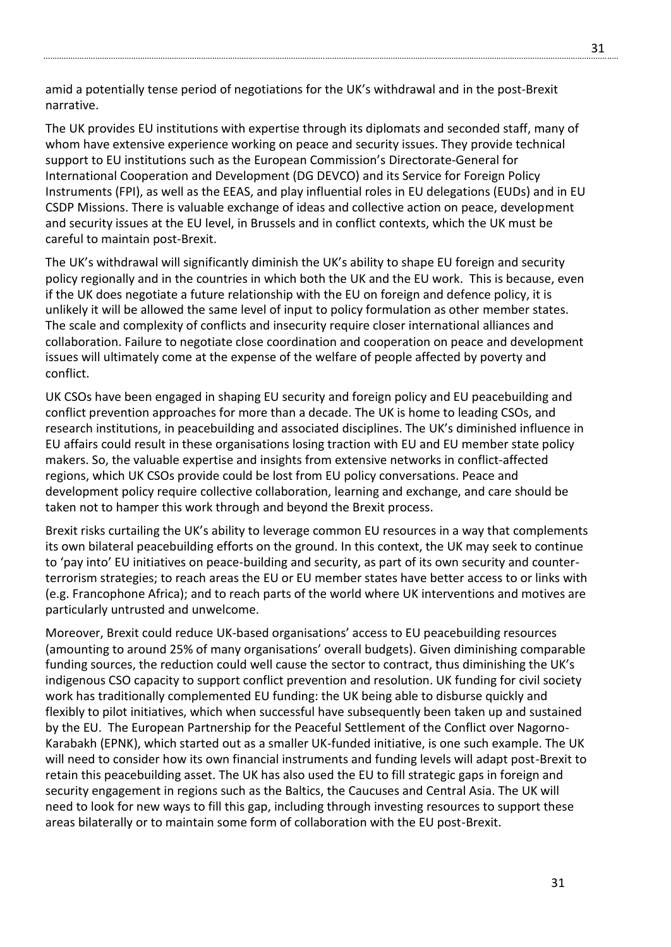amid a potentially tense period of negotiations for the UK's withdrawal and in the post-Brexit narrative.

The UK provides EU institutions with expertise through its diplomats and seconded staff, many of whom have extensive experience working on peace and security issues. They provide technical support to EU institutions such as the European Commission's Directorate-General for International Cooperation and Development (DG DEVCO) and its Service for Foreign Policy Instruments (FPI), as well as the EEAS, and play influential roles in EU delegations (EUDs) and in EU CSDP Missions. There is valuable exchange of ideas and collective action on peace, development and security issues at the EU level, in Brussels and in conflict contexts, which the UK must be careful to maintain post-Brexit.

The UK's withdrawal will significantly diminish the UK's ability to shape EU foreign and security policy regionally and in the countries in which both the UK and the EU work. This is because, even if the UK does negotiate a future relationship with the EU on foreign and defence policy, it is unlikely it will be allowed the same level of input to policy formulation as other member states. The scale and complexity of conflicts and insecurity require closer international alliances and collaboration. Failure to negotiate close coordination and cooperation on peace and development issues will ultimately come at the expense of the welfare of people affected by poverty and conflict.

UK CSOs have been engaged in shaping EU security and foreign policy and EU peacebuilding and conflict prevention approaches for more than a decade. The UK is home to leading CSOs, and research institutions, in peacebuilding and associated disciplines. The UK's diminished influence in EU affairs could result in these organisations losing traction with EU and EU member state policy makers. So, the valuable expertise and insights from extensive networks in conflict-affected regions, which UK CSOs provide could be lost from EU policy conversations. Peace and development policy require collective collaboration, learning and exchange, and care should be taken not to hamper this work through and beyond the Brexit process.

Brexit risks curtailing the UK's ability to leverage common EU resources in a way that complements its own bilateral peacebuilding efforts on the ground. In this context, the UK may seek to continue to 'pay into' EU initiatives on peace-building and security, as part of its own security and counterterrorism strategies; to reach areas the EU or EU member states have better access to or links with (e.g. Francophone Africa); and to reach parts of the world where UK interventions and motives are particularly untrusted and unwelcome.

Moreover, Brexit could reduce UK-based organisations' access to EU peacebuilding resources (amounting to around 25% of many organisations' overall budgets). Given diminishing comparable funding sources, the reduction could well cause the sector to contract, thus diminishing the UK's indigenous CSO capacity to support conflict prevention and resolution. UK funding for civil society work has traditionally complemented EU funding: the UK being able to disburse quickly and flexibly to pilot initiatives, which when successful have subsequently been taken up and sustained by the EU. The European Partnership for the Peaceful Settlement of the Conflict over Nagorno-Karabakh (EPNK), which started out as a smaller UK-funded initiative, is one such example. The UK will need to consider how its own financial instruments and funding levels will adapt post-Brexit to retain this peacebuilding asset. The UK has also used the EU to fill strategic gaps in foreign and security engagement in regions such as the Baltics, the Caucuses and Central Asia. The UK will need to look for new ways to fill this gap, including through investing resources to support these areas bilaterally or to maintain some form of collaboration with the EU post-Brexit.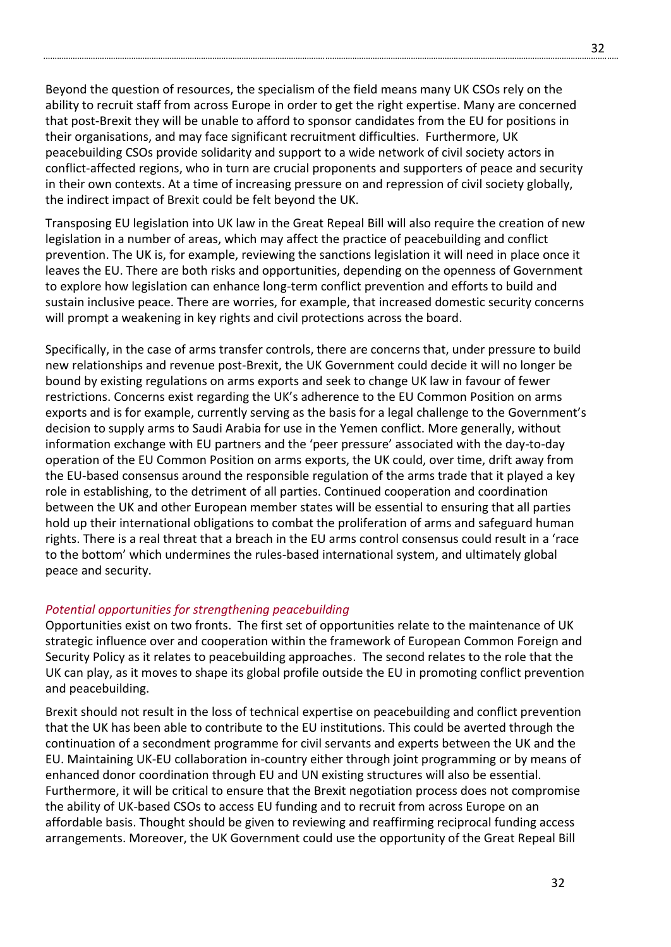Beyond the question of resources, the specialism of the field means many UK CSOs rely on the ability to recruit staff from across Europe in order to get the right expertise. Many are concerned that post-Brexit they will be unable to afford to sponsor candidates from the EU for positions in their organisations, and may face significant recruitment difficulties. Furthermore, UK peacebuilding CSOs provide solidarity and support to a wide network of civil society actors in conflict-affected regions, who in turn are crucial proponents and supporters of peace and security in their own contexts. At a time of increasing pressure on and repression of civil society globally, the indirect impact of Brexit could be felt beyond the UK.

Transposing EU legislation into UK law in the Great Repeal Bill will also require the creation of new legislation in a number of areas, which may affect the practice of peacebuilding and conflict prevention. The UK is, for example, reviewing the sanctions legislation it will need in place once it leaves the EU. There are both risks and opportunities, depending on the openness of Government to explore how legislation can enhance long-term conflict prevention and efforts to build and sustain inclusive peace. There are worries, for example, that increased domestic security concerns will prompt a weakening in key rights and civil protections across the board.

Specifically, in the case of arms transfer controls, there are concerns that, under pressure to build new relationships and revenue post-Brexit, the UK Government could decide it will no longer be bound by existing regulations on arms exports and seek to change UK law in favour of fewer restrictions. Concerns exist regarding the UK's adherence to the EU Common Position on arms exports and is for example, currently serving as the basis for a legal challenge to the Government's decision to supply arms to Saudi Arabia for use in the Yemen conflict. More generally, without information exchange with EU partners and the 'peer pressure' associated with the day-to-day operation of the EU Common Position on arms exports, the UK could, over time, drift away from the EU-based consensus around the responsible regulation of the arms trade that it played a key role in establishing, to the detriment of all parties. Continued cooperation and coordination between the UK and other European member states will be essential to ensuring that all parties hold up their international obligations to combat the proliferation of arms and safeguard human rights. There is a real threat that a breach in the EU arms control consensus could result in a 'race to the bottom' which undermines the rules-based international system, and ultimately global peace and security.

#### *Potential opportunities for strengthening peacebuilding*

Opportunities exist on two fronts. The first set of opportunities relate to the maintenance of UK strategic influence over and cooperation within the framework of European Common Foreign and Security Policy as it relates to peacebuilding approaches. The second relates to the role that the UK can play, as it moves to shape its global profile outside the EU in promoting conflict prevention and peacebuilding.

Brexit should not result in the loss of technical expertise on peacebuilding and conflict prevention that the UK has been able to contribute to the EU institutions. This could be averted through the continuation of a secondment programme for civil servants and experts between the UK and the EU. Maintaining UK-EU collaboration in-country either through joint programming or by means of enhanced donor coordination through EU and UN existing structures will also be essential. Furthermore, it will be critical to ensure that the Brexit negotiation process does not compromise the ability of UK-based CSOs to access EU funding and to recruit from across Europe on an affordable basis. Thought should be given to reviewing and reaffirming reciprocal funding access arrangements. Moreover, the UK Government could use the opportunity of the Great Repeal Bill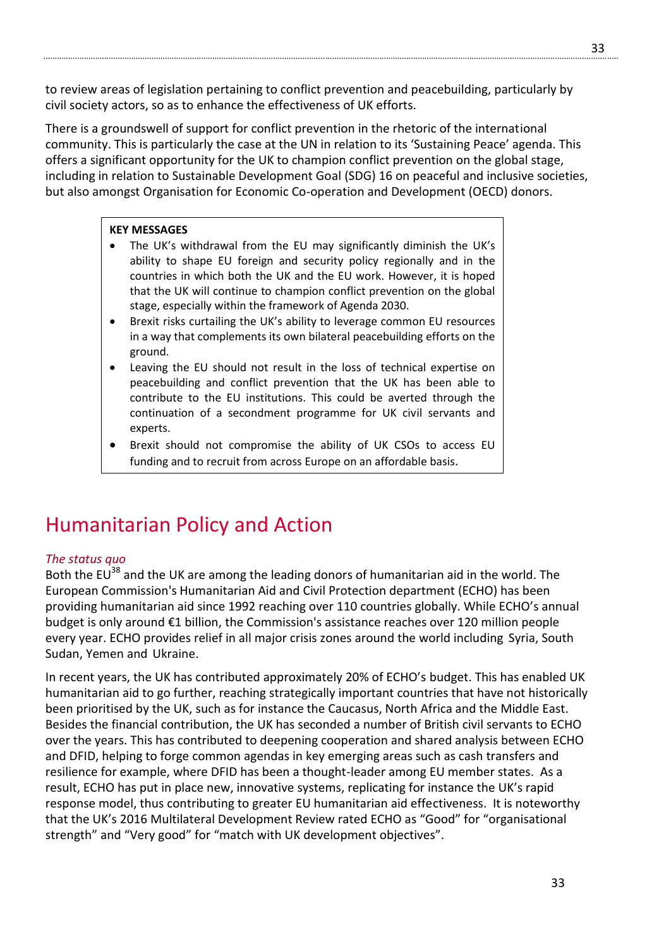to review areas of legislation pertaining to conflict prevention and peacebuilding, particularly by civil society actors, so as to enhance the effectiveness of UK efforts.

There is a groundswell of support for conflict prevention in the rhetoric of the international community. This is particularly the case at the UN in relation to its 'Sustaining Peace' agenda. This offers a significant opportunity for the UK to champion conflict prevention on the global stage, including in relation to Sustainable Development Goal (SDG) 16 on peaceful and inclusive societies, but also amongst Organisation for Economic Co-operation and Development (OECD) donors.

### **KEY MESSAGES**

- The UK's withdrawal from the EU may significantly diminish the UK's ability to shape EU foreign and security policy regionally and in the countries in which both the UK and the EU work. However, it is hoped that the UK will continue to champion conflict prevention on the global stage, especially within the framework of Agenda 2030.
- Brexit risks curtailing the UK's ability to leverage common EU resources in a way that complements its own bilateral peacebuilding efforts on the ground.
- Leaving the EU should not result in the loss of technical expertise on peacebuilding and conflict prevention that the UK has been able to contribute to the EU institutions. This could be averted through the continuation of a secondment programme for UK civil servants and experts.
- Brexit should not compromise the ability of UK CSOs to access EU funding and to recruit from across Europe on an affordable basis.

# Humanitarian Policy and Action

#### *The status quo*

Both the EU<sup>38</sup> and the UK are among the leading donors of humanitarian aid in the world. The European Commission's Humanitarian Aid and Civil Protection department (ECHO) has been providing humanitarian aid since 1992 reaching over 110 countries globally. While ECHO's annual budget is only around €1 billion, the Commission's assistance reaches over 120 million people every year. ECHO provides relief in all major crisis zones around the world including Syria, South Sudan, Yemen and Ukraine.

In recent years, the UK has contributed approximately 20% of ECHO's budget. This has enabled UK humanitarian aid to go further, reaching strategically important countries that have not historically been prioritised by the UK, such as for instance the Caucasus, North Africa and the Middle East. Besides the financial contribution, the UK has seconded a number of British civil servants to ECHO over the years. This has contributed to deepening cooperation and shared analysis between ECHO and DFID, helping to forge common agendas in key emerging areas such as cash transfers and resilience for example, where DFID has been a thought-leader among EU member states. As a result, ECHO has put in place new, innovative systems, replicating for instance the UK's rapid response model, thus contributing to greater EU humanitarian aid effectiveness. It is noteworthy that the UK's 2016 Multilateral Development Review rated ECHO as "Good" for "organisational strength" and "Very good" for "match with UK development objectives".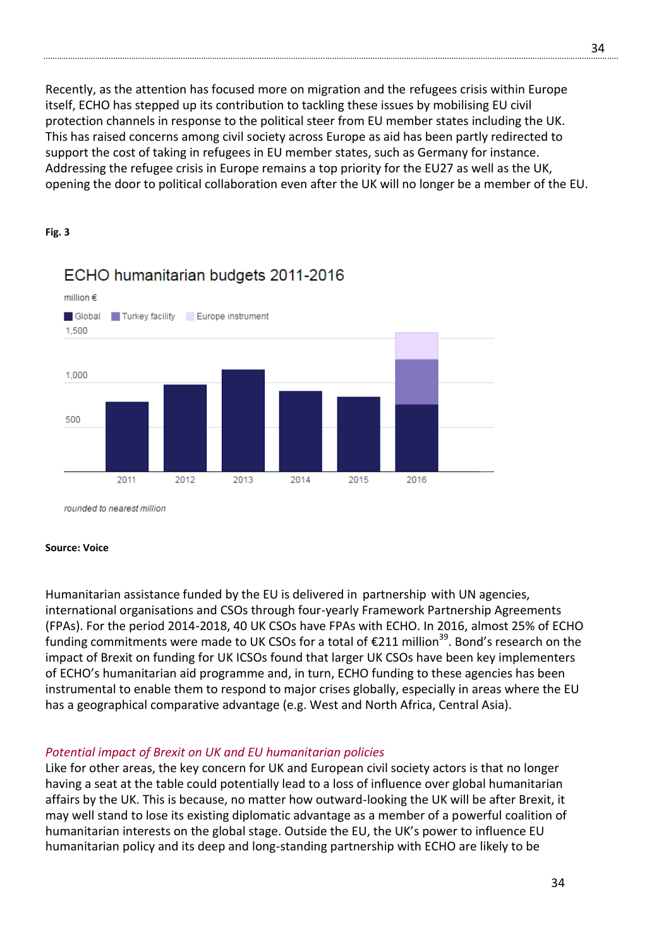Recently, as the attention has focused more on migration and the refugees crisis within Europe itself, ECHO has stepped up its contribution to tackling these issues by mobilising EU civil protection channels in response to the political steer from EU member states including the UK. This has raised concerns among civil society across Europe as aid has been partly redirected to support the cost of taking in refugees in EU member states, such as Germany for instance. Addressing the refugee crisis in Europe remains a top priority for the EU27 as well as the UK, opening the door to political collaboration even after the UK will no longer be a member of the EU.

#### **Fig. 3**



# ECHO humanitarian budgets 2011-2016

rounded to nearest million

#### **Source: Voice**

Humanitarian assistance funded by the EU is delivered in partnership with UN agencies, international organisations and CSOs through four-yearly Framework Partnership Agreements (FPAs). For the period 2014-2018, 40 UK CSOs have FPAs with ECHO. In 2016, almost 25% of ECHO funding commitments were made to UK CSOs for a total of  $\epsilon$ 211 million<sup>39</sup>. Bond's research on the impact of Brexit on funding for UK ICSOs found that larger UK CSOs have been key implementers of ECHO's humanitarian aid programme and, in turn, ECHO funding to these agencies has been instrumental to enable them to respond to major crises globally, especially in areas where the EU has a geographical comparative advantage (e.g. West and North Africa, Central Asia).

# *Potential impact of Brexit on UK and EU humanitarian policies*

Like for other areas, the key concern for UK and European civil society actors is that no longer having a seat at the table could potentially lead to a loss of influence over global humanitarian affairs by the UK. This is because, no matter how outward-looking the UK will be after Brexit, it may well stand to lose its existing diplomatic advantage as a member of a powerful coalition of humanitarian interests on the global stage. Outside the EU, the UK's power to influence EU humanitarian policy and its deep and long-standing partnership with ECHO are likely to be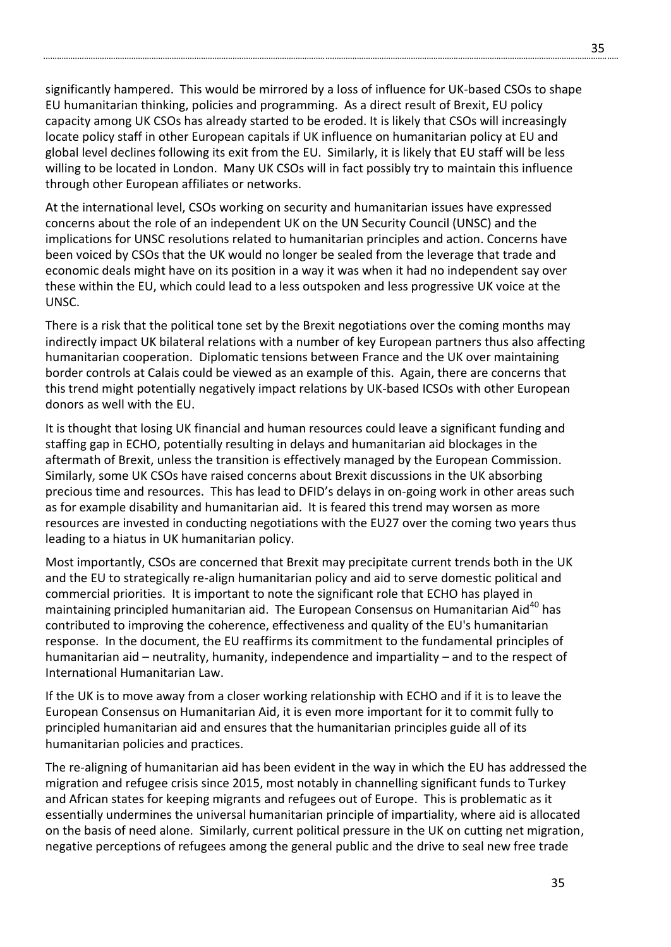significantly hampered. This would be mirrored by a loss of influence for UK-based CSOs to shape EU humanitarian thinking, policies and programming. As a direct result of Brexit, EU policy capacity among UK CSOs has already started to be eroded. It is likely that CSOs will increasingly locate policy staff in other European capitals if UK influence on humanitarian policy at EU and global level declines following its exit from the EU. Similarly, it is likely that EU staff will be less willing to be located in London. Many UK CSOs will in fact possibly try to maintain this influence through other European affiliates or networks.

At the international level, CSOs working on security and humanitarian issues have expressed concerns about the role of an independent UK on the UN Security Council (UNSC) and the implications for UNSC resolutions related to humanitarian principles and action. Concerns have been voiced by CSOs that the UK would no longer be sealed from the leverage that trade and economic deals might have on its position in a way it was when it had no independent say over these within the EU, which could lead to a less outspoken and less progressive UK voice at the UNSC.

There is a risk that the political tone set by the Brexit negotiations over the coming months may indirectly impact UK bilateral relations with a number of key European partners thus also affecting humanitarian cooperation. Diplomatic tensions between France and the UK over maintaining border controls at Calais could be viewed as an example of this. Again, there are concerns that this trend might potentially negatively impact relations by UK-based ICSOs with other European donors as well with the EU.

It is thought that losing UK financial and human resources could leave a significant funding and staffing gap in ECHO, potentially resulting in delays and humanitarian aid blockages in the aftermath of Brexit, unless the transition is effectively managed by the European Commission. Similarly, some UK CSOs have raised concerns about Brexit discussions in the UK absorbing precious time and resources. This has lead to DFID's delays in on-going work in other areas such as for example disability and humanitarian aid. It is feared this trend may worsen as more resources are invested in conducting negotiations with the EU27 over the coming two years thus leading to a hiatus in UK humanitarian policy.

Most importantly, CSOs are concerned that Brexit may precipitate current trends both in the UK and the EU to strategically re-align humanitarian policy and aid to serve domestic political and commercial priorities. It is important to note the significant role that ECHO has played in maintaining principled humanitarian aid. The European Consensus on Humanitarian Aid<sup>40</sup> has contributed to improving the coherence, effectiveness and quality of the EU's humanitarian response. In the document, the EU reaffirms its commitment to the fundamental [principles of](http://ec.europa.eu/echo/who/humanitarian-aid-and-civil-protection/humanitarian-principles_en)  [humanitarian aid](http://ec.europa.eu/echo/who/humanitarian-aid-and-civil-protection/humanitarian-principles_en) – neutrality, humanity, independence and impartiality – and to the respect of [International Humanitarian Law.](http://ec.europa.eu/echo/files/aid/countries/factsheets/thematic/ihl_en.pdf)

If the UK is to move away from a closer working relationship with ECHO and if it is to leave the European Consensus on Humanitarian Aid, it is even more important for it to commit fully to principled humanitarian aid and ensures that the humanitarian principles guide all of its humanitarian policies and practices.

The re-aligning of humanitarian aid has been evident in the way in which the EU has addressed the migration and refugee crisis since 2015, most notably in channelling significant funds to Turkey and African states for keeping migrants and refugees out of Europe. This is problematic as it essentially undermines the universal humanitarian principle of impartiality, where aid is allocated on the basis of need alone. Similarly, current political pressure in the UK on cutting net migration, negative perceptions of refugees among the general public and the drive to seal new free trade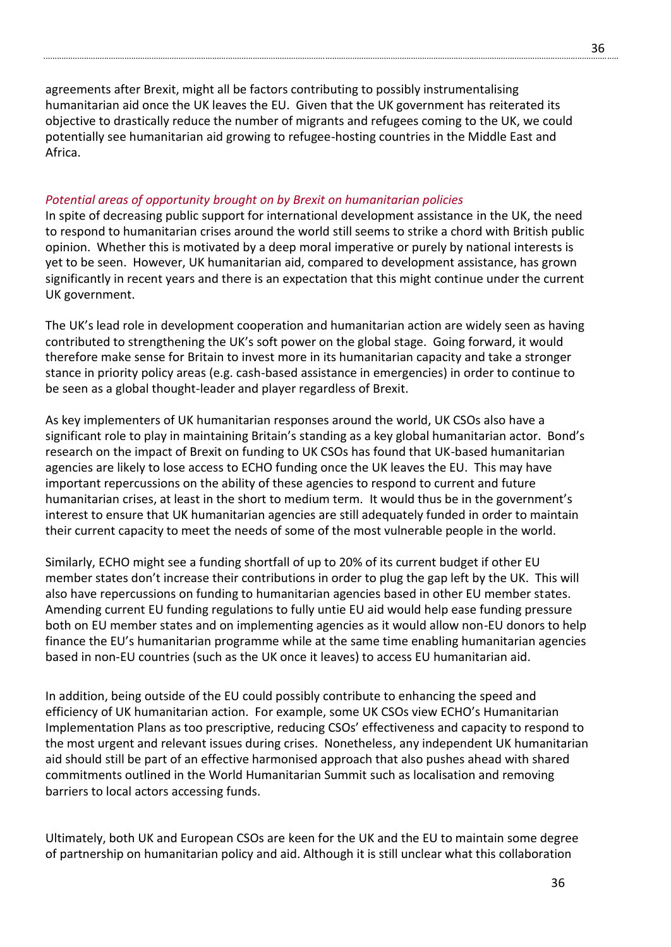agreements after Brexit, might all be factors contributing to possibly instrumentalising humanitarian aid once the UK leaves the EU. Given that the UK government has reiterated its objective to drastically reduce the number of migrants and refugees coming to the UK, we could potentially see humanitarian aid growing to refugee-hosting countries in the Middle East and Africa.

## *Potential areas of opportunity brought on by Brexit on humanitarian policies*

In spite of decreasing public support for international development assistance in the UK, the need to respond to humanitarian crises around the world still seems to strike a chord with British public opinion. Whether this is motivated by a deep moral imperative or purely by national interests is yet to be seen. However, UK humanitarian aid, compared to development assistance, has grown significantly in recent years and there is an expectation that this might continue under the current UK government.

The UK's lead role in development cooperation and humanitarian action are widely seen as having contributed to strengthening the UK's soft power on the global stage. Going forward, it would therefore make sense for Britain to invest more in its humanitarian capacity and take a stronger stance in priority policy areas (e.g. cash-based assistance in emergencies) in order to continue to be seen as a global thought-leader and player regardless of Brexit.

As key implementers of UK humanitarian responses around the world, UK CSOs also have a significant role to play in maintaining Britain's standing as a key global humanitarian actor. Bond's research on the impact of Brexit on funding to UK CSOs has found that UK-based humanitarian agencies are likely to lose access to ECHO funding once the UK leaves the EU. This may have important repercussions on the ability of these agencies to respond to current and future humanitarian crises, at least in the short to medium term. It would thus be in the government's interest to ensure that UK humanitarian agencies are still adequately funded in order to maintain their current capacity to meet the needs of some of the most vulnerable people in the world.

Similarly, ECHO might see a funding shortfall of up to 20% of its current budget if other EU member states don't increase their contributions in order to plug the gap left by the UK. This will also have repercussions on funding to humanitarian agencies based in other EU member states. Amending current EU funding regulations to fully untie EU aid would help ease funding pressure both on EU member states and on implementing agencies as it would allow non-EU donors to help finance the EU's humanitarian programme while at the same time enabling humanitarian agencies based in non-EU countries (such as the UK once it leaves) to access EU humanitarian aid.

In addition, being outside of the EU could possibly contribute to enhancing the speed and efficiency of UK humanitarian action. For example, some UK CSOs view ECHO's Humanitarian Implementation Plans as too prescriptive, reducing CSOs' effectiveness and capacity to respond to the most urgent and relevant issues during crises. Nonetheless, any independent UK humanitarian aid should still be part of an effective harmonised approach that also pushes ahead with shared commitments outlined in the World Humanitarian Summit such as localisation and removing barriers to local actors accessing funds.

Ultimately, both UK and European CSOs are keen for the UK and the EU to maintain some degree of partnership on humanitarian policy and aid. Although it is still unclear what this collaboration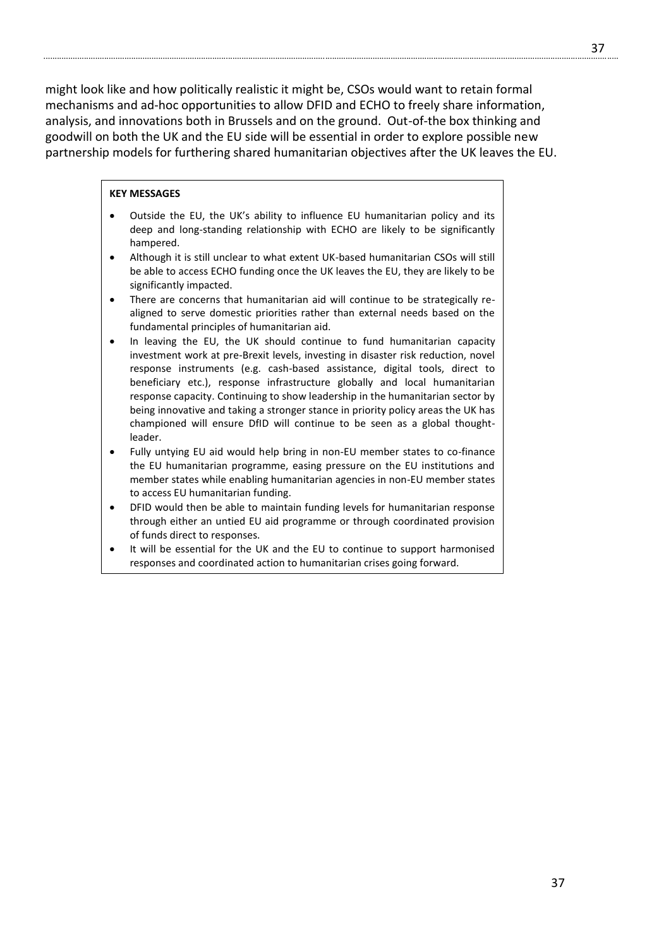might look like and how politically realistic it might be, CSOs would want to retain formal mechanisms and ad-hoc opportunities to allow DFID and ECHO to freely share information, analysis, and innovations both in Brussels and on the ground. Out-of-the box thinking and goodwill on both the UK and the EU side will be essential in order to explore possible new partnership models for furthering shared humanitarian objectives after the UK leaves the EU.

#### **KEY MESSAGES**

- Outside the EU, the UK's ability to influence EU humanitarian policy and its deep and long-standing relationship with ECHO are likely to be significantly hampered.
- Although it is still unclear to what extent UK-based humanitarian CSOs will still be able to access ECHO funding once the UK leaves the EU, they are likely to be significantly impacted.
- There are concerns that humanitarian aid will continue to be strategically realigned to serve domestic priorities rather than external needs based on the fundamental principles of humanitarian aid.
- In leaving the EU, the UK should continue to fund humanitarian capacity investment work at pre-Brexit levels, investing in disaster risk reduction, novel response instruments (e.g. cash-based assistance, digital tools, direct to beneficiary etc.), response infrastructure globally and local humanitarian response capacity. Continuing to show leadership in the humanitarian sector by being innovative and taking a stronger stance in priority policy areas the UK has championed will ensure DfID will continue to be seen as a global thoughtleader.
- Fully untying EU aid would help bring in non-EU member states to co-finance the EU humanitarian programme, easing pressure on the EU institutions and member states while enabling humanitarian agencies in non-EU member states to access EU humanitarian funding.
- DFID would then be able to maintain funding levels for humanitarian response through either an untied EU aid programme or through coordinated provision of funds direct to responses.
- It will be essential for the UK and the EU to continue to support harmonised responses and coordinated action to humanitarian crises going forward.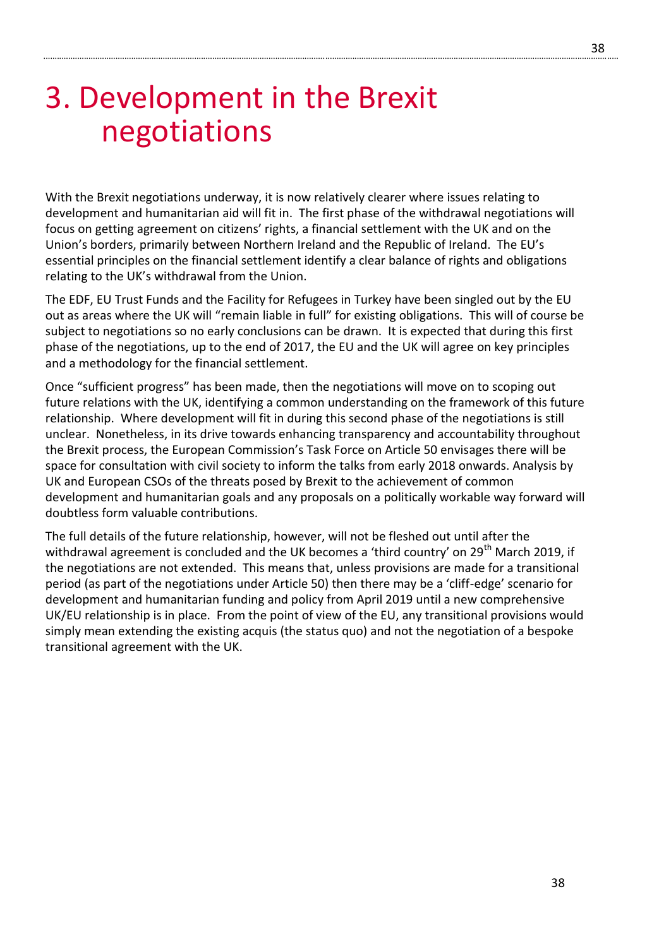# 3. Development in the Brexit negotiations

With the Brexit negotiations underway, it is now relatively clearer where issues relating to development and humanitarian aid will fit in. The first phase of the withdrawal negotiations will focus on getting agreement on citizens' rights, a financial settlement with the UK and on the Union's borders, primarily between Northern Ireland and the Republic of Ireland. The EU's essential principles on the financial settlement identify a clear balance of rights and obligations relating to the UK's withdrawal from the Union.

...............................................................................................................................................................................................................................................................

The EDF, EU Trust Funds and the Facility for Refugees in Turkey have been singled out by the EU out as areas where the UK will "remain liable in full" for existing obligations. This will of course be subject to negotiations so no early conclusions can be drawn. It is expected that during this first phase of the negotiations, up to the end of 2017, the EU and the UK will agree on key principles and a methodology for the financial settlement.

Once "sufficient progress" has been made, then the negotiations will move on to scoping out future relations with the UK, identifying a common understanding on the framework of this future relationship. Where development will fit in during this second phase of the negotiations is still unclear. Nonetheless, in its drive towards enhancing transparency and accountability throughout the Brexit process, the European Commission's Task Force on Article 50 envisages there will be space for consultation with civil society to inform the talks from early 2018 onwards. Analysis by UK and European CSOs of the threats posed by Brexit to the achievement of common development and humanitarian goals and any proposals on a politically workable way forward will doubtless form valuable contributions.

The full details of the future relationship, however, will not be fleshed out until after the withdrawal agreement is concluded and the UK becomes a 'third country' on 29<sup>th</sup> March 2019, if the negotiations are not extended. This means that, unless provisions are made for a transitional period (as part of the negotiations under Article 50) then there may be a 'cliff-edge' scenario for development and humanitarian funding and policy from April 2019 until a new comprehensive UK/EU relationship is in place. From the point of view of the EU, any transitional provisions would simply mean extending the existing acquis (the status quo) and not the negotiation of a bespoke transitional agreement with the UK.

38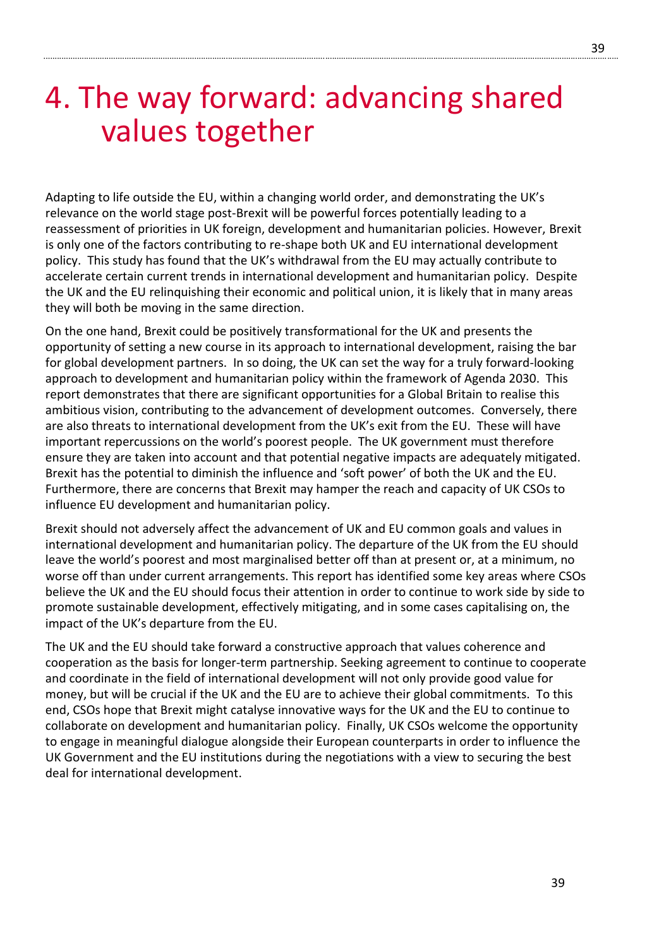# 4. The way forward: advancing shared values together

Adapting to life outside the EU, within a changing world order, and demonstrating the UK's relevance on the world stage post-Brexit will be powerful forces potentially leading to a reassessment of priorities in UK foreign, development and humanitarian policies. However, Brexit is only one of the factors contributing to re-shape both UK and EU international development policy. This study has found that the UK's withdrawal from the EU may actually contribute to accelerate certain current trends in international development and humanitarian policy. Despite the UK and the EU relinquishing their economic and political union, it is likely that in many areas they will both be moving in the same direction.

On the one hand, Brexit could be positively transformational for the UK and presents the opportunity of setting a new course in its approach to international development, raising the bar for global development partners. In so doing, the UK can set the way for a truly forward-looking approach to development and humanitarian policy within the framework of Agenda 2030. This report demonstrates that there are significant opportunities for a Global Britain to realise this ambitious vision, contributing to the advancement of development outcomes. Conversely, there are also threats to international development from the UK's exit from the EU. These will have important repercussions on the world's poorest people. The UK government must therefore ensure they are taken into account and that potential negative impacts are adequately mitigated. Brexit has the potential to diminish the influence and 'soft power' of both the UK and the EU. Furthermore, there are concerns that Brexit may hamper the reach and capacity of UK CSOs to influence EU development and humanitarian policy.

Brexit should not adversely affect the advancement of UK and EU common goals and values in international development and humanitarian policy. The departure of the UK from the EU should leave the world's poorest and most marginalised better off than at present or, at a minimum, no worse off than under current arrangements. This report has identified some key areas where CSOs believe the UK and the EU should focus their attention in order to continue to work side by side to promote sustainable development, effectively mitigating, and in some cases capitalising on, the impact of the UK's departure from the EU.

The UK and the EU should take forward a constructive approach that values coherence and cooperation as the basis for longer-term partnership. Seeking agreement to continue to cooperate and coordinate in the field of international development will not only provide good value for money, but will be crucial if the UK and the EU are to achieve their global commitments. To this end, CSOs hope that Brexit might catalyse innovative ways for the UK and the EU to continue to collaborate on development and humanitarian policy. Finally, UK CSOs welcome the opportunity to engage in meaningful dialogue alongside their European counterparts in order to influence the UK Government and the EU institutions during the negotiations with a view to securing the best deal for international development.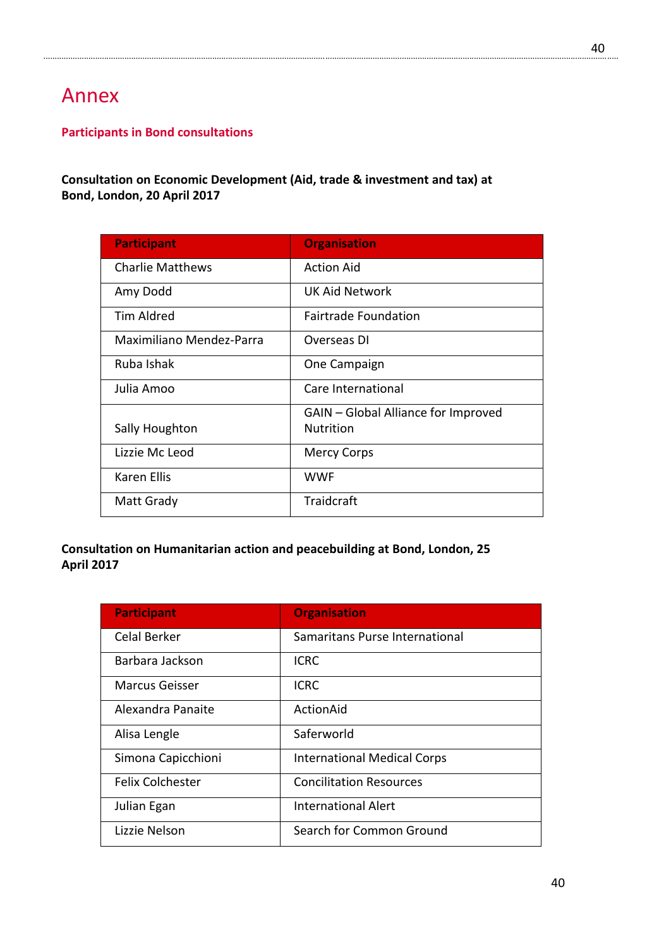# Annex

# **Participants in Bond consultations**

### **Consultation on Economic Development (Aid, trade & investment and tax) at Bond, London, 20 April 2017**

| <b>Organisation</b>                 |
|-------------------------------------|
| <b>Action Aid</b>                   |
| UK Aid Network                      |
| <b>Fairtrade Foundation</b>         |
| Overseas DI                         |
| One Campaign                        |
| Care International                  |
| GAIN - Global Alliance for Improved |
| <b>Nutrition</b>                    |
| Mercy Corps                         |
| <b>WWF</b>                          |
| Traidcraft                          |
|                                     |

# **Consultation on Humanitarian action and peacebuilding at Bond, London, 25 April 2017**

| <b>Participant</b>      | <b>Organisation</b>                |
|-------------------------|------------------------------------|
| <b>Celal Berker</b>     | Samaritans Purse International     |
| Barbara Jackson         | <b>ICRC</b>                        |
| <b>Marcus Geisser</b>   | <b>ICRC</b>                        |
| Alexandra Panaite       | ActionAid                          |
| Alisa Lengle            | Saferworld                         |
| Simona Capicchioni      | <b>International Medical Corps</b> |
| <b>Felix Colchester</b> | <b>Concilitation Resources</b>     |
| Julian Egan             | <b>International Alert</b>         |
| Lizzie Nelson           | Search for Common Ground           |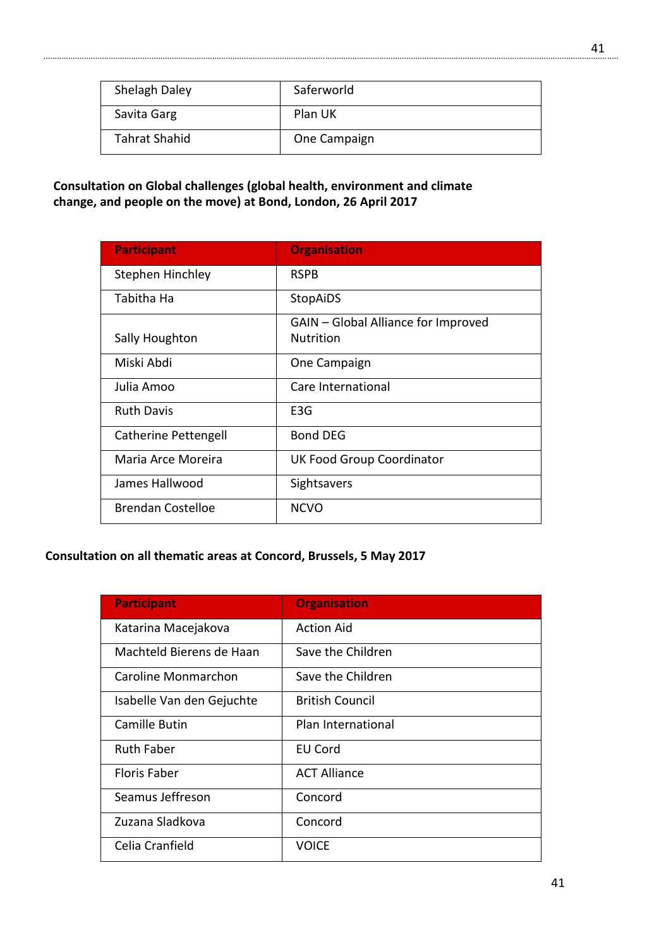| Shelagh Daley | Saferworld   |
|---------------|--------------|
| Savita Garg   | Plan UK      |
| Tahrat Shahid | One Campaign |

# **Consultation on Global challenges (global health, environment and climate change, and people on the move) at Bond, London, 26 April 2017**

| <b>Participant</b>          | <b>Organisation</b>                 |
|-----------------------------|-------------------------------------|
| Stephen Hinchley            | <b>RSPB</b>                         |
| Tabitha Ha                  | StopAiDS                            |
|                             | GAIN - Global Alliance for Improved |
| Sally Houghton              | <b>Nutrition</b>                    |
| Miski Abdi                  | One Campaign                        |
| Julia Amoo                  | Care International                  |
| <b>Ruth Davis</b>           | E3G                                 |
| <b>Catherine Pettengell</b> | <b>Bond DEG</b>                     |
| Maria Arce Moreira          | <b>UK Food Group Coordinator</b>    |
| James Hallwood              | Sightsavers                         |
| <b>Brendan Costelloe</b>    | <b>NCVO</b>                         |

# **Consultation on all thematic areas at Concord, Brussels, 5 May 2017**

| <b>Participant</b>        | <b>Organisation</b>    |
|---------------------------|------------------------|
| Katarina Macejakova       | <b>Action Aid</b>      |
| Machteld Bierens de Haan  | Save the Children      |
| Caroline Monmarchon       | Save the Children      |
| Isabelle Van den Gejuchte | <b>British Council</b> |
| <b>Camille Butin</b>      | Plan International     |
| <b>Ruth Faber</b>         | <b>EU Cord</b>         |
| <b>Floris Faber</b>       | <b>ACT Alliance</b>    |
| Seamus Jeffreson          | Concord                |
| Zuzana Sladkova           | Concord                |
| Celia Cranfield           | <b>VOICE</b>           |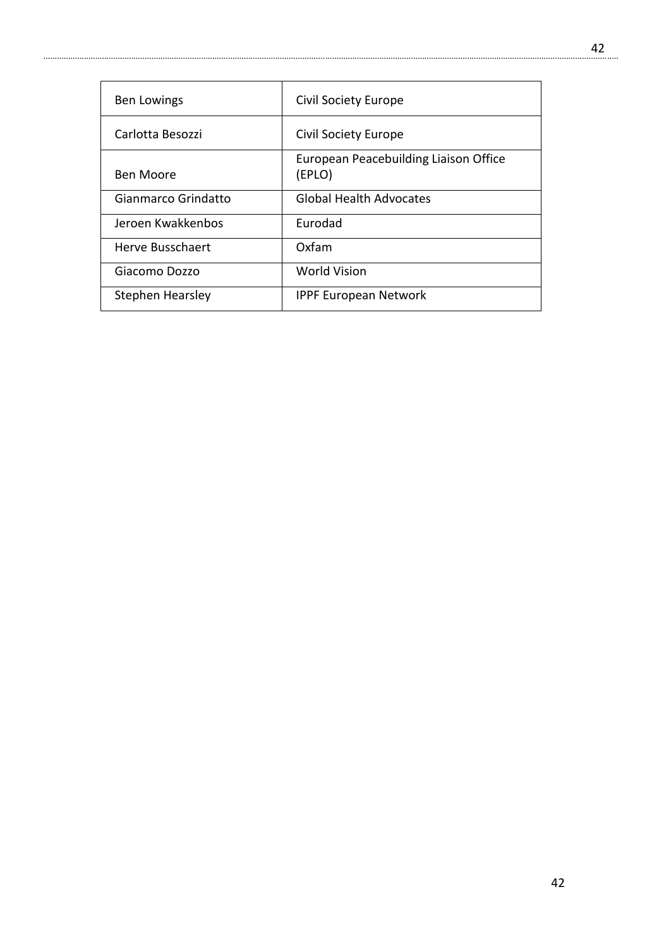| <b>Ben Lowings</b>  | <b>Civil Society Europe</b>                     |
|---------------------|-------------------------------------------------|
| Carlotta Besozzi    | Civil Society Europe                            |
| Ben Moore           | European Peacebuilding Liaison Office<br>(EPLO) |
| Gianmarco Grindatto | <b>Global Health Advocates</b>                  |
| Jeroen Kwakkenbos   | <b>Furodad</b>                                  |
| Herve Busschaert    | Oxfam                                           |
| Giacomo Dozzo       | <b>World Vision</b>                             |
| Stephen Hearsley    | <b>IPPF European Network</b>                    |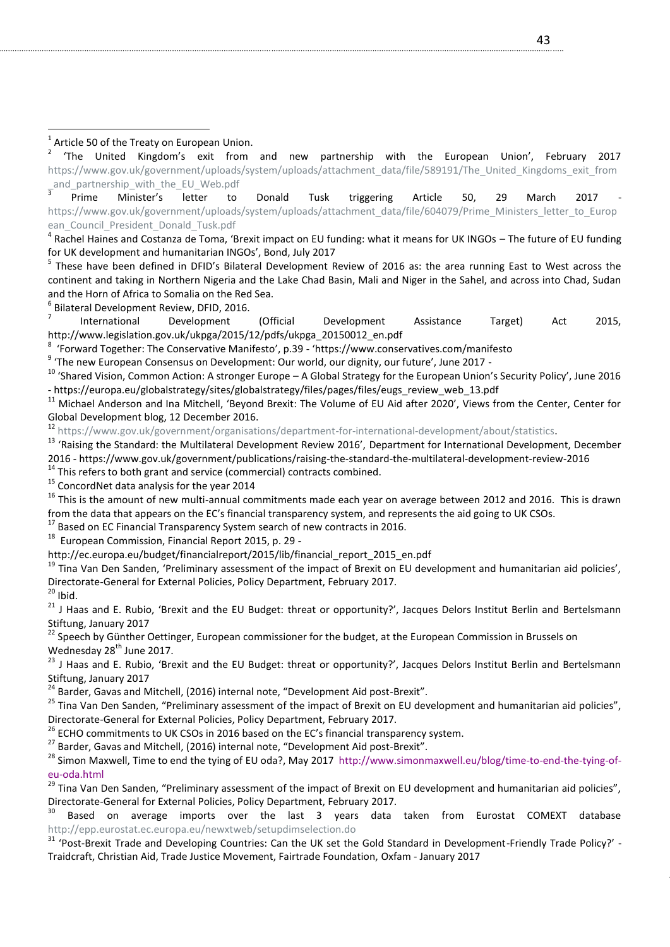2 'The United Kingdom's exit from and new partnership with the European Union', February 2017 [https://www.gov.uk/government/uploads/system/uploads/attachment\\_data/file/589191/The\\_United\\_Kingdoms\\_exit\\_from](https://www.gov.uk/government/uploads/system/uploads/attachment_data/file/589191/The_United_Kingdoms_exit_from_and_partnership_with_the_EU_Web.pdf) and partnership with the EU Web.pdf

3 Prime Minister's letter to Donald Tusk triggering Article 50, 29 March 2017 [https://www.gov.uk/government/uploads/system/uploads/attachment\\_data/file/604079/Prime\\_Ministers\\_letter\\_to\\_Europ](https://www.gov.uk/government/uploads/system/uploads/attachment_data/file/604079/Prime_Ministers_letter_to_European_Council_President_Donald_Tusk.pdf) ean Council President Donald Tusk.pdf

<sup>4</sup> Rachel Haines and Costanza de Toma, 'Brexit impact on EU funding: what it means for UK INGOs – The future of EU funding for UK development and humanitarian INGOs', Bond, July 2017

<sup>5</sup> These have been defined in DFID's Bilateral Development Review of 2016 as: the area running East to West across the continent and taking in Northern Nigeria and the Lake Chad Basin, Mali and Niger in the Sahel, and across into Chad, Sudan and the Horn of Africa to Somalia on the Red Sea.

6 Bilateral Development Review, DFID, 2016.

7 International Development (Official Development Assistance Target) Act 2015, http://www.legislation.gov.uk/ukpga/2015/12/pdfs/ukpga\_20150012\_en.pdf

8 'Forward Together: The Conservative Manifesto', p.39 - 'https://www.conservatives.com/manifesto

<sup>9</sup> 'The new European Consensus on Development: Our world, our dignity, our future', June 2017 -

 $10$  'Shared Vision, Common Action: A stronger Europe – A Global Strategy for the European Union's Security Policy', June 2016 - https://europa.eu/globalstrategy/sites/globalstrategy/files/pages/files/eugs\_review\_web\_13.pdf

<sup>11</sup> Michael Anderson and Ina Mitchell, 'Beyond Brexit: The Volume of EU Aid after 2020', Views from the Center, Center for Global Development blog, 12 December 2016.

<sup>12</sup> [https://www.gov.uk/government/organisations/department-for-international-development/about/statistics.](https://www.gov.uk/government/organisations/department-for-international-development/about/statistics)

<sup>13</sup> 'Raising the Standard: the Multilateral Development Review 2016', Department for International Development, December 2016 - https://www.gov.uk/government/publications/raising-the-standard-the-multilateral-development-review-2016

 $14$  This refers to both grant and service (commercial) contracts combined.

<sup>15</sup> ConcordNet data analysis for the year 2014

 $16$  This is the amount of new multi-annual commitments made each year on average between 2012 and 2016. This is drawn from the data that appears on the EC's financial transparency system, and represents the aid going to UK CSOs.

<sup>17</sup> Based on EC Financial Transparency System search of new contracts in 2016.

<sup>18</sup> European Commission, Financial Report 2015, p. 29 -

http://ec.europa.eu/budget/financialreport/2015/lib/financial\_report\_2015\_en.pdf

 $19$  Tina Van Den Sanden, 'Preliminary assessment of the impact of Brexit on EU development and humanitarian aid policies', Directorate-General for External Policies, Policy Department, February 2017.

 $20$  Ibid.

<sup>21</sup> J Haas and E. Rubio, 'Brexit and the EU Budget: threat or opportunity?', Jacques Delors Institut Berlin and Bertelsmann Stiftung, January 2017

<sup>22</sup> Speech by Günther Oettinger, European commissioner for the budget, at the European Commission in Brussels on Wednesday 28<sup>th</sup> June 2017.

<sup>23</sup> J Haas and E. Rubio, 'Brexit and the EU Budget: threat or opportunity?', Jacques Delors Institut Berlin and Bertelsmann Stiftung, January 2017

24 Barder, Gavas and Mitchell, (2016) internal note, "Development Aid post-Brexit".

<sup>25</sup> Tina Van Den Sanden, "Preliminary assessment of the impact of Brexit on EU development and humanitarian aid policies", Directorate-General for External Policies, Policy Department, February 2017.

<sup>26</sup> ECHO commitments to UK CSOs in 2016 based on the EC's financial transparency system.

 $27$  Barder, Gavas and Mitchell, (2016) internal note, "Development Aid post-Brexit".

<sup>28</sup> Simon Maxwell, Time to end the tying of EU oda?, May 2017 [http://www.simonmaxwell.eu/blog/time-to-end-the-tying-of](http://scanmail.trustwave.com/?c=3040&d=sYfm2bKT1oV7lRSLSv_wiDcSBHryBxz0uIvwIv_efw&s=267&u=http%3a%2f%2fwww%2esimonmaxwell%2eeu%2fblog%2ftime-to-end-the-tying-of-eu-oda%2ehtml)[eu-oda.html](http://scanmail.trustwave.com/?c=3040&d=sYfm2bKT1oV7lRSLSv_wiDcSBHryBxz0uIvwIv_efw&s=267&u=http%3a%2f%2fwww%2esimonmaxwell%2eeu%2fblog%2ftime-to-end-the-tying-of-eu-oda%2ehtml)

<sup>29</sup> Tina Van Den Sanden, "Preliminary assessment of the impact of Brexit on EU development and humanitarian aid policies", Directorate-General for External Policies, Policy Department, February 2017.

Based on average imports over the last 3 years data taken from Eurostat COMEXT database <http://epp.eurostat.ec.europa.eu/newxtweb/setupdimselection.do>

<sup>31</sup> 'Post-Brexit Trade and Developing Countries: Can the UK set the Gold Standard in Development-Friendly Trade Policy?' -Traidcraft, Christian Aid, Trade Justice Movement, Fairtrade Foundation, Oxfam - January 2017

 1 Article 50 of the Treaty on European Union.